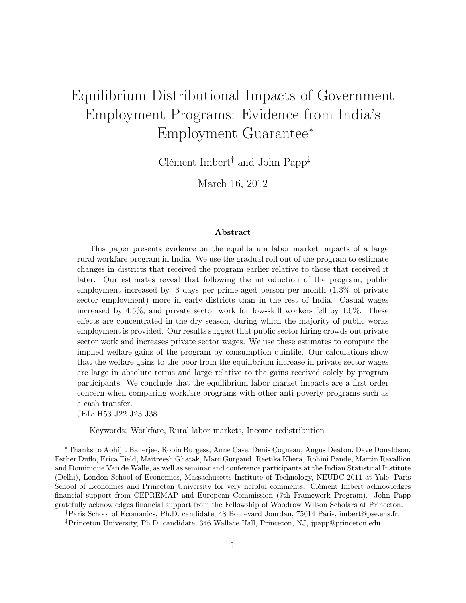# Equilibrium Distributional Impacts of Government Employment Programs: Evidence from India's Employment Guarantee<sup>∗</sup>

Clément Imbert† and John Papp‡

March 16, 2012

#### Abstract

This paper presents evidence on the equilibrium labor market impacts of a large rural workfare program in India. We use the gradual roll out of the program to estimate changes in districts that received the program earlier relative to those that received it later. Our estimates reveal that following the introduction of the program, public employment increased by .3 days per prime-aged person per month (1.3% of private sector employment) more in early districts than in the rest of India. Casual wages increased by 4.5%, and private sector work for low-skill workers fell by 1.6%. These effects are concentrated in the dry season, during which the majority of public works employment is provided. Our results suggest that public sector hiring crowds out private sector work and increases private sector wages. We use these estimates to compute the implied welfare gains of the program by consumption quintile. Our calculations show that the welfare gains to the poor from the equilibrium increase in private sector wages are large in absolute terms and large relative to the gains received solely by program participants. We conclude that the equilibrium labor market impacts are a first order concern when comparing workfare programs with other anti-poverty programs such as a cash transfer.

JEL: H53 J22 J23 J38

Keywords: Workfare, Rural labor markets, Income redistribution

<sup>∗</sup>Thanks to Abhijit Banerjee, Robin Burgess, Anne Case, Denis Cogneau, Angus Deaton, Dave Donaldson, Esther Duflo, Erica Field, Maitreesh Ghatak, Marc Gurgand, Reetika Khera, Rohini Pande, Martin Ravallion and Dominique Van de Walle, as well as seminar and conference participants at the Indian Statistical Institute (Delhi), London School of Economics, Massachusetts Institute of Technology, NEUDC 2011 at Yale, Paris School of Economics and Princeton University for very helpful comments. Clément Imbert acknowledges financial support from CEPREMAP and European Commission (7th Framework Program). John Papp gratefully acknowledges financial support from the Fellowship of Woodrow Wilson Scholars at Princeton.

<sup>†</sup>Paris School of Economics, Ph.D. candidate, 48 Boulevard Jourdan, 75014 Paris, imbert@pse.ens.fr. ‡Princeton University, Ph.D. candidate, 346 Wallace Hall, Princeton, NJ, jpapp@princeton.edu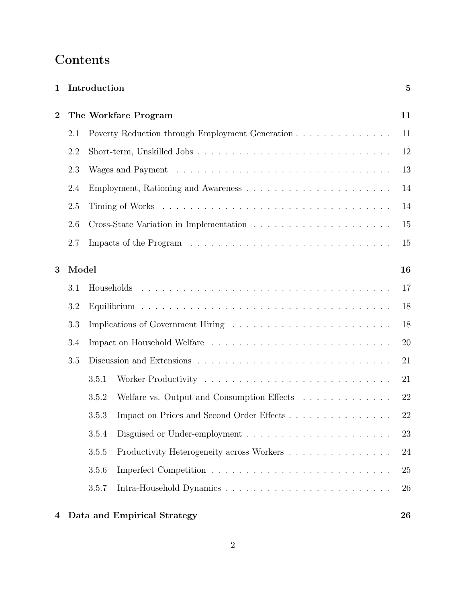## Contents

| $\mathbf{1}$   |                      | Introduction |                                                 | $\overline{5}$ |  |  |  |
|----------------|----------------------|--------------|-------------------------------------------------|----------------|--|--|--|
| $\overline{2}$ | The Workfare Program |              |                                                 |                |  |  |  |
|                | 2.1                  |              | Poverty Reduction through Employment Generation | 11             |  |  |  |
|                | 2.2                  |              |                                                 | 12             |  |  |  |
|                | 2.3                  |              |                                                 | 13             |  |  |  |
|                | 2.4                  |              |                                                 | 14             |  |  |  |
|                | 2.5                  |              |                                                 | 14             |  |  |  |
|                | 2.6                  |              |                                                 | 15             |  |  |  |
|                | 2.7                  |              |                                                 | 15             |  |  |  |
| 3              | Model                |              |                                                 | 16             |  |  |  |
|                | 3.1                  |              |                                                 | 17             |  |  |  |
|                | 3.2                  |              |                                                 | 18             |  |  |  |
|                | 3.3                  |              |                                                 | 18             |  |  |  |
|                | 3.4                  |              |                                                 |                |  |  |  |
|                | 3.5                  |              |                                                 |                |  |  |  |
|                |                      | 3.5.1        |                                                 | 21             |  |  |  |
|                |                      | 3.5.2        | Welfare vs. Output and Consumption Effects      | 22             |  |  |  |
|                |                      | 3.5.3        |                                                 | 22             |  |  |  |
|                |                      | 3.5.4        |                                                 | 23             |  |  |  |
|                |                      | 3.5.5        | Productivity Heterogeneity across Workers       | 24             |  |  |  |
|                |                      | 3.5.6        |                                                 | 25             |  |  |  |
|                |                      | 3.5.7        |                                                 | 26             |  |  |  |
| 4              |                      |              | Data and Empirical Strategy                     | 26             |  |  |  |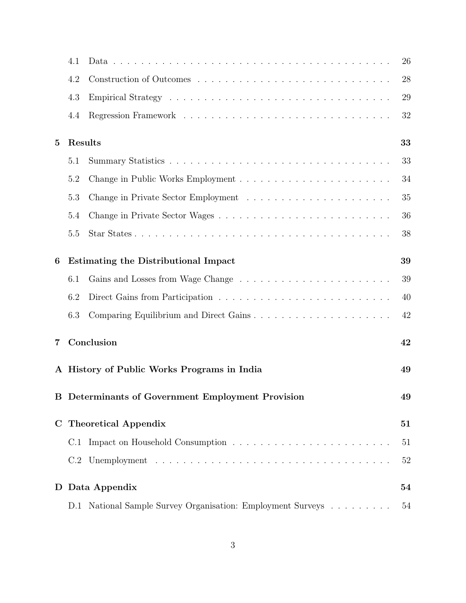|             | 4.1                                         |                                                          | 26 |  |  |  |
|-------------|---------------------------------------------|----------------------------------------------------------|----|--|--|--|
|             | 4.2                                         |                                                          | 28 |  |  |  |
|             | 4.3                                         |                                                          | 29 |  |  |  |
|             | 4.4                                         |                                                          | 32 |  |  |  |
| $\bf{5}$    | Results                                     |                                                          | 33 |  |  |  |
|             | 5.1                                         |                                                          | 33 |  |  |  |
|             | 5.2                                         |                                                          | 34 |  |  |  |
|             | 5.3                                         |                                                          | 35 |  |  |  |
|             | 5.4                                         |                                                          | 36 |  |  |  |
|             | 5.5                                         |                                                          | 38 |  |  |  |
| 6           | <b>Estimating the Distributional Impact</b> |                                                          |    |  |  |  |
|             | 6.1                                         |                                                          | 39 |  |  |  |
|             | 6.2                                         |                                                          | 40 |  |  |  |
|             | 6.3                                         | Comparing Equilibrium and Direct Gains                   | 42 |  |  |  |
| 7           |                                             | Conclusion<br>42                                         |    |  |  |  |
|             |                                             | A History of Public Works Programs in India              | 49 |  |  |  |
|             |                                             | <b>B</b> Determinants of Government Employment Provision | 49 |  |  |  |
| $\mathbf C$ | <b>Theoretical Appendix</b>                 |                                                          |    |  |  |  |
|             | C.1                                         |                                                          | 51 |  |  |  |
|             | C.2                                         |                                                          | 52 |  |  |  |
| D           |                                             | Data Appendix                                            | 54 |  |  |  |
|             | D.1                                         | National Sample Survey Organisation: Employment Surveys  | 54 |  |  |  |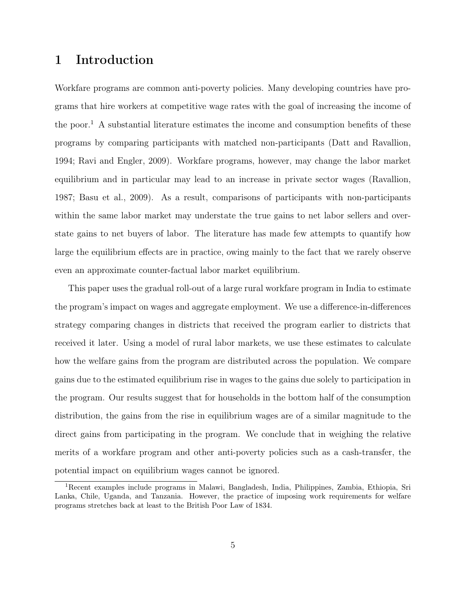## 1 Introduction

Workfare programs are common anti-poverty policies. Many developing countries have programs that hire workers at competitive wage rates with the goal of increasing the income of the poor.<sup>1</sup> A substantial literature estimates the income and consumption benefits of these programs by comparing participants with matched non-participants (Datt and Ravallion, 1994; Ravi and Engler, 2009). Workfare programs, however, may change the labor market equilibrium and in particular may lead to an increase in private sector wages (Ravallion, 1987; Basu et al., 2009). As a result, comparisons of participants with non-participants within the same labor market may understate the true gains to net labor sellers and overstate gains to net buyers of labor. The literature has made few attempts to quantify how large the equilibrium effects are in practice, owing mainly to the fact that we rarely observe even an approximate counter-factual labor market equilibrium.

This paper uses the gradual roll-out of a large rural workfare program in India to estimate the program's impact on wages and aggregate employment. We use a difference-in-differences strategy comparing changes in districts that received the program earlier to districts that received it later. Using a model of rural labor markets, we use these estimates to calculate how the welfare gains from the program are distributed across the population. We compare gains due to the estimated equilibrium rise in wages to the gains due solely to participation in the program. Our results suggest that for households in the bottom half of the consumption distribution, the gains from the rise in equilibrium wages are of a similar magnitude to the direct gains from participating in the program. We conclude that in weighing the relative merits of a workfare program and other anti-poverty policies such as a cash-transfer, the potential impact on equilibrium wages cannot be ignored.

<sup>1</sup>Recent examples include programs in Malawi, Bangladesh, India, Philippines, Zambia, Ethiopia, Sri Lanka, Chile, Uganda, and Tanzania. However, the practice of imposing work requirements for welfare programs stretches back at least to the British Poor Law of 1834.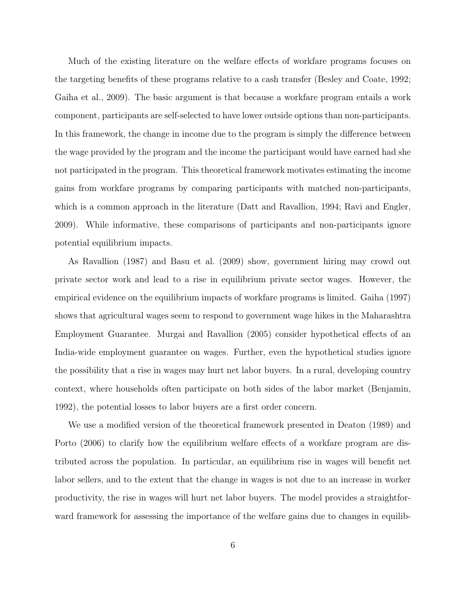Much of the existing literature on the welfare effects of workfare programs focuses on the targeting benefits of these programs relative to a cash transfer (Besley and Coate, 1992; Gaiha et al., 2009). The basic argument is that because a workfare program entails a work component, participants are self-selected to have lower outside options than non-participants. In this framework, the change in income due to the program is simply the difference between the wage provided by the program and the income the participant would have earned had she not participated in the program. This theoretical framework motivates estimating the income gains from workfare programs by comparing participants with matched non-participants, which is a common approach in the literature (Datt and Ravallion, 1994; Ravi and Engler, 2009). While informative, these comparisons of participants and non-participants ignore potential equilibrium impacts.

As Ravallion (1987) and Basu et al. (2009) show, government hiring may crowd out private sector work and lead to a rise in equilibrium private sector wages. However, the empirical evidence on the equilibrium impacts of workfare programs is limited. Gaiha (1997) shows that agricultural wages seem to respond to government wage hikes in the Maharashtra Employment Guarantee. Murgai and Ravallion (2005) consider hypothetical effects of an India-wide employment guarantee on wages. Further, even the hypothetical studies ignore the possibility that a rise in wages may hurt net labor buyers. In a rural, developing country context, where households often participate on both sides of the labor market (Benjamin, 1992), the potential losses to labor buyers are a first order concern.

We use a modified version of the theoretical framework presented in Deaton (1989) and Porto (2006) to clarify how the equilibrium welfare effects of a workfare program are distributed across the population. In particular, an equilibrium rise in wages will benefit net labor sellers, and to the extent that the change in wages is not due to an increase in worker productivity, the rise in wages will hurt net labor buyers. The model provides a straightforward framework for assessing the importance of the welfare gains due to changes in equilib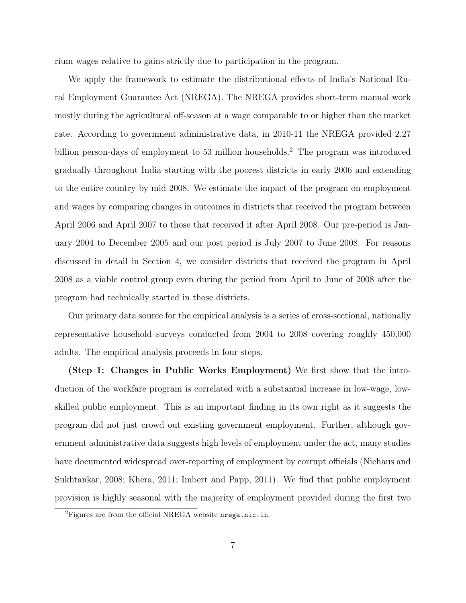rium wages relative to gains strictly due to participation in the program.

We apply the framework to estimate the distributional effects of India's National Rural Employment Guarantee Act (NREGA). The NREGA provides short-term manual work mostly during the agricultural off-season at a wage comparable to or higher than the market rate. According to government administrative data, in 2010-11 the NREGA provided 2.27 billion person-days of employment to 53 million households.<sup>2</sup> The program was introduced gradually throughout India starting with the poorest districts in early 2006 and extending to the entire country by mid 2008. We estimate the impact of the program on employment and wages by comparing changes in outcomes in districts that received the program between April 2006 and April 2007 to those that received it after April 2008. Our pre-period is January 2004 to December 2005 and our post period is July 2007 to June 2008. For reasons discussed in detail in Section 4, we consider districts that received the program in April 2008 as a viable control group even during the period from April to June of 2008 after the program had technically started in those districts.

Our primary data source for the empirical analysis is a series of cross-sectional, nationally representative household surveys conducted from 2004 to 2008 covering roughly 450,000 adults. The empirical analysis proceeds in four steps.

(Step 1: Changes in Public Works Employment) We first show that the introduction of the workfare program is correlated with a substantial increase in low-wage, lowskilled public employment. This is an important finding in its own right as it suggests the program did not just crowd out existing government employment. Further, although government administrative data suggests high levels of employment under the act, many studies have documented widespread over-reporting of employment by corrupt officials (Niehaus and Sukhtankar, 2008; Khera, 2011; Imbert and Papp, 2011). We find that public employment provision is highly seasonal with the majority of employment provided during the first two

<sup>&</sup>lt;sup>2</sup>Figures are from the official NREGA website nrega.nic.in.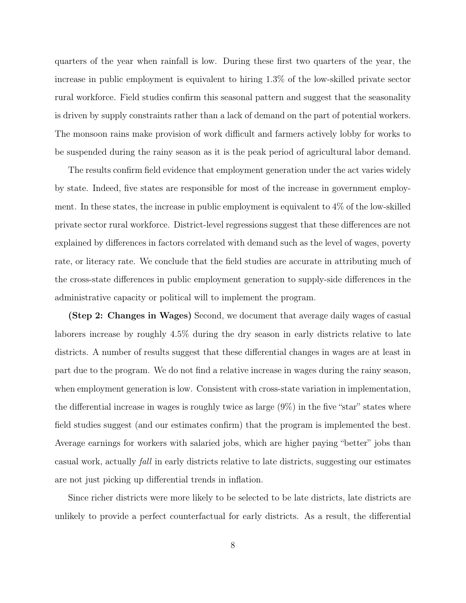quarters of the year when rainfall is low. During these first two quarters of the year, the increase in public employment is equivalent to hiring 1.3% of the low-skilled private sector rural workforce. Field studies confirm this seasonal pattern and suggest that the seasonality is driven by supply constraints rather than a lack of demand on the part of potential workers. The monsoon rains make provision of work difficult and farmers actively lobby for works to be suspended during the rainy season as it is the peak period of agricultural labor demand.

The results confirm field evidence that employment generation under the act varies widely by state. Indeed, five states are responsible for most of the increase in government employment. In these states, the increase in public employment is equivalent to 4% of the low-skilled private sector rural workforce. District-level regressions suggest that these differences are not explained by differences in factors correlated with demand such as the level of wages, poverty rate, or literacy rate. We conclude that the field studies are accurate in attributing much of the cross-state differences in public employment generation to supply-side differences in the administrative capacity or political will to implement the program.

(Step 2: Changes in Wages) Second, we document that average daily wages of casual laborers increase by roughly 4.5% during the dry season in early districts relative to late districts. A number of results suggest that these differential changes in wages are at least in part due to the program. We do not find a relative increase in wages during the rainy season, when employment generation is low. Consistent with cross-state variation in implementation, the differential increase in wages is roughly twice as large  $(9\%)$  in the five "star" states where field studies suggest (and our estimates confirm) that the program is implemented the best. Average earnings for workers with salaried jobs, which are higher paying "better" jobs than casual work, actually fall in early districts relative to late districts, suggesting our estimates are not just picking up differential trends in inflation.

Since richer districts were more likely to be selected to be late districts, late districts are unlikely to provide a perfect counterfactual for early districts. As a result, the differential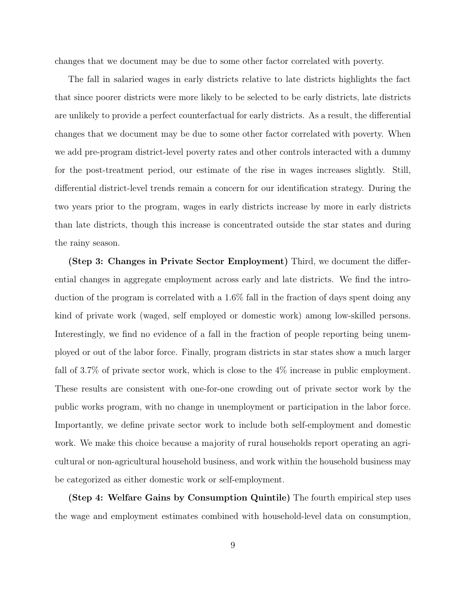changes that we document may be due to some other factor correlated with poverty.

The fall in salaried wages in early districts relative to late districts highlights the fact that since poorer districts were more likely to be selected to be early districts, late districts are unlikely to provide a perfect counterfactual for early districts. As a result, the differential changes that we document may be due to some other factor correlated with poverty. When we add pre-program district-level poverty rates and other controls interacted with a dummy for the post-treatment period, our estimate of the rise in wages increases slightly. Still, differential district-level trends remain a concern for our identification strategy. During the two years prior to the program, wages in early districts increase by more in early districts than late districts, though this increase is concentrated outside the star states and during the rainy season.

(Step 3: Changes in Private Sector Employment) Third, we document the differential changes in aggregate employment across early and late districts. We find the introduction of the program is correlated with a 1.6% fall in the fraction of days spent doing any kind of private work (waged, self employed or domestic work) among low-skilled persons. Interestingly, we find no evidence of a fall in the fraction of people reporting being unemployed or out of the labor force. Finally, program districts in star states show a much larger fall of 3.7% of private sector work, which is close to the 4% increase in public employment. These results are consistent with one-for-one crowding out of private sector work by the public works program, with no change in unemployment or participation in the labor force. Importantly, we define private sector work to include both self-employment and domestic work. We make this choice because a majority of rural households report operating an agricultural or non-agricultural household business, and work within the household business may be categorized as either domestic work or self-employment.

(Step 4: Welfare Gains by Consumption Quintile) The fourth empirical step uses the wage and employment estimates combined with household-level data on consumption,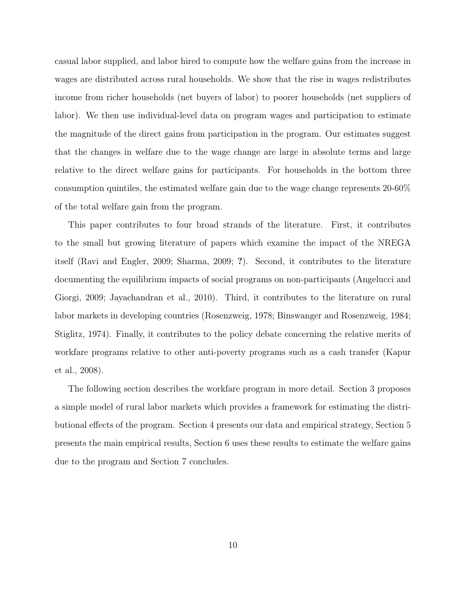casual labor supplied, and labor hired to compute how the welfare gains from the increase in wages are distributed across rural households. We show that the rise in wages redistributes income from richer households (net buyers of labor) to poorer households (net suppliers of labor). We then use individual-level data on program wages and participation to estimate the magnitude of the direct gains from participation in the program. Our estimates suggest that the changes in welfare due to the wage change are large in absolute terms and large relative to the direct welfare gains for participants. For households in the bottom three consumption quintiles, the estimated welfare gain due to the wage change represents 20-60% of the total welfare gain from the program.

This paper contributes to four broad strands of the literature. First, it contributes to the small but growing literature of papers which examine the impact of the NREGA itself (Ravi and Engler, 2009; Sharma, 2009; ?). Second, it contributes to the literature documenting the equilibrium impacts of social programs on non-participants (Angelucci and Giorgi, 2009; Jayachandran et al., 2010). Third, it contributes to the literature on rural labor markets in developing countries (Rosenzweig, 1978; Binswanger and Rosenzweig, 1984; Stiglitz, 1974). Finally, it contributes to the policy debate concerning the relative merits of workfare programs relative to other anti-poverty programs such as a cash transfer (Kapur et al., 2008).

The following section describes the workfare program in more detail. Section 3 proposes a simple model of rural labor markets which provides a framework for estimating the distributional effects of the program. Section 4 presents our data and empirical strategy, Section 5 presents the main empirical results, Section 6 uses these results to estimate the welfare gains due to the program and Section 7 concludes.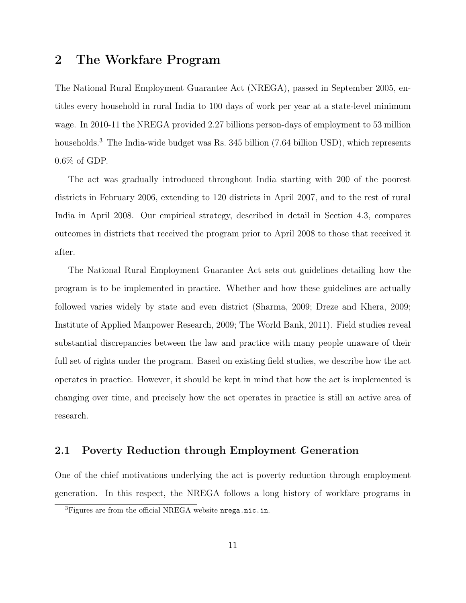## 2 The Workfare Program

The National Rural Employment Guarantee Act (NREGA), passed in September 2005, entitles every household in rural India to 100 days of work per year at a state-level minimum wage. In 2010-11 the NREGA provided 2.27 billions person-days of employment to 53 million households.<sup>3</sup> The India-wide budget was Rs. 345 billion (7.64 billion USD), which represents 0.6% of GDP.

The act was gradually introduced throughout India starting with 200 of the poorest districts in February 2006, extending to 120 districts in April 2007, and to the rest of rural India in April 2008. Our empirical strategy, described in detail in Section 4.3, compares outcomes in districts that received the program prior to April 2008 to those that received it after.

The National Rural Employment Guarantee Act sets out guidelines detailing how the program is to be implemented in practice. Whether and how these guidelines are actually followed varies widely by state and even district (Sharma, 2009; Dreze and Khera, 2009; Institute of Applied Manpower Research, 2009; The World Bank, 2011). Field studies reveal substantial discrepancies between the law and practice with many people unaware of their full set of rights under the program. Based on existing field studies, we describe how the act operates in practice. However, it should be kept in mind that how the act is implemented is changing over time, and precisely how the act operates in practice is still an active area of research.

## 2.1 Poverty Reduction through Employment Generation

One of the chief motivations underlying the act is poverty reduction through employment generation. In this respect, the NREGA follows a long history of workfare programs in

 ${}^{3}$ Figures are from the official NREGA website nrega.nic.in.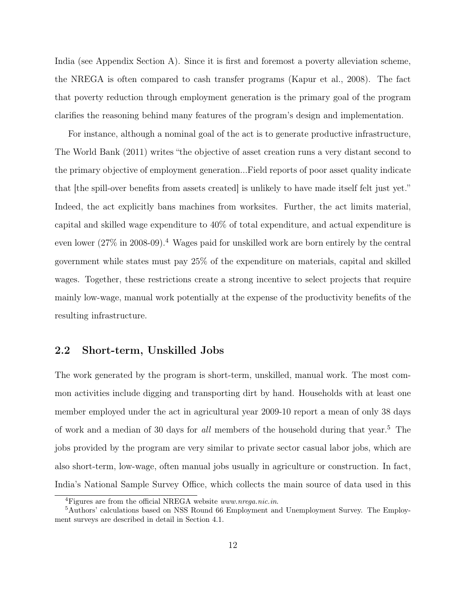India (see Appendix Section A). Since it is first and foremost a poverty alleviation scheme, the NREGA is often compared to cash transfer programs (Kapur et al., 2008). The fact that poverty reduction through employment generation is the primary goal of the program clarifies the reasoning behind many features of the program's design and implementation.

For instance, although a nominal goal of the act is to generate productive infrastructure, The World Bank (2011) writes "the objective of asset creation runs a very distant second to the primary objective of employment generation...Field reports of poor asset quality indicate that [the spill-over benefits from assets created] is unlikely to have made itself felt just yet." Indeed, the act explicitly bans machines from worksites. Further, the act limits material, capital and skilled wage expenditure to 40% of total expenditure, and actual expenditure is even lower  $(27\%$  in 2008-09).<sup>4</sup> Wages paid for unskilled work are born entirely by the central government while states must pay 25% of the expenditure on materials, capital and skilled wages. Together, these restrictions create a strong incentive to select projects that require mainly low-wage, manual work potentially at the expense of the productivity benefits of the resulting infrastructure.

## 2.2 Short-term, Unskilled Jobs

The work generated by the program is short-term, unskilled, manual work. The most common activities include digging and transporting dirt by hand. Households with at least one member employed under the act in agricultural year 2009-10 report a mean of only 38 days of work and a median of 30 days for *all* members of the household during that year.<sup>5</sup> The jobs provided by the program are very similar to private sector casual labor jobs, which are also short-term, low-wage, often manual jobs usually in agriculture or construction. In fact, India's National Sample Survey Office, which collects the main source of data used in this

<sup>4</sup>Figures are from the official NREGA website www.nrega.nic.in.

<sup>5</sup>Authors' calculations based on NSS Round 66 Employment and Unemployment Survey. The Employment surveys are described in detail in Section 4.1.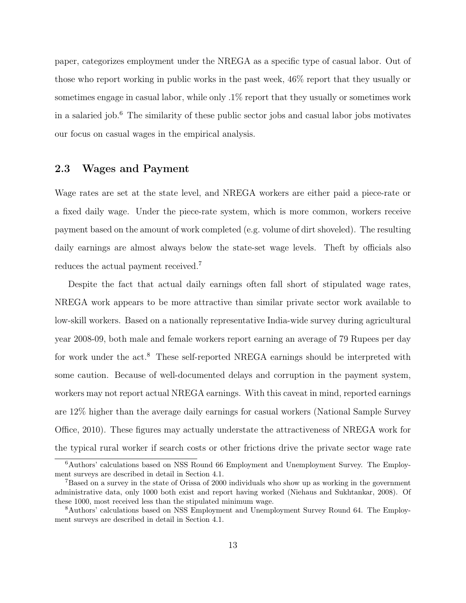paper, categorizes employment under the NREGA as a specific type of casual labor. Out of those who report working in public works in the past week, 46% report that they usually or sometimes engage in casual labor, while only .1% report that they usually or sometimes work in a salaried job.<sup>6</sup> The similarity of these public sector jobs and casual labor jobs motivates our focus on casual wages in the empirical analysis.

## 2.3 Wages and Payment

Wage rates are set at the state level, and NREGA workers are either paid a piece-rate or a fixed daily wage. Under the piece-rate system, which is more common, workers receive payment based on the amount of work completed (e.g. volume of dirt shoveled). The resulting daily earnings are almost always below the state-set wage levels. Theft by officials also reduces the actual payment received.<sup>7</sup>

Despite the fact that actual daily earnings often fall short of stipulated wage rates, NREGA work appears to be more attractive than similar private sector work available to low-skill workers. Based on a nationally representative India-wide survey during agricultural year 2008-09, both male and female workers report earning an average of 79 Rupees per day for work under the act.<sup>8</sup> These self-reported NREGA earnings should be interpreted with some caution. Because of well-documented delays and corruption in the payment system, workers may not report actual NREGA earnings. With this caveat in mind, reported earnings are 12% higher than the average daily earnings for casual workers (National Sample Survey Office, 2010). These figures may actually understate the attractiveness of NREGA work for the typical rural worker if search costs or other frictions drive the private sector wage rate

<sup>6</sup>Authors' calculations based on NSS Round 66 Employment and Unemployment Survey. The Employment surveys are described in detail in Section 4.1.

<sup>7</sup>Based on a survey in the state of Orissa of 2000 individuals who show up as working in the government administrative data, only 1000 both exist and report having worked (Niehaus and Sukhtankar, 2008). Of these 1000, most received less than the stipulated minimum wage.

<sup>8</sup>Authors' calculations based on NSS Employment and Unemployment Survey Round 64. The Employment surveys are described in detail in Section 4.1.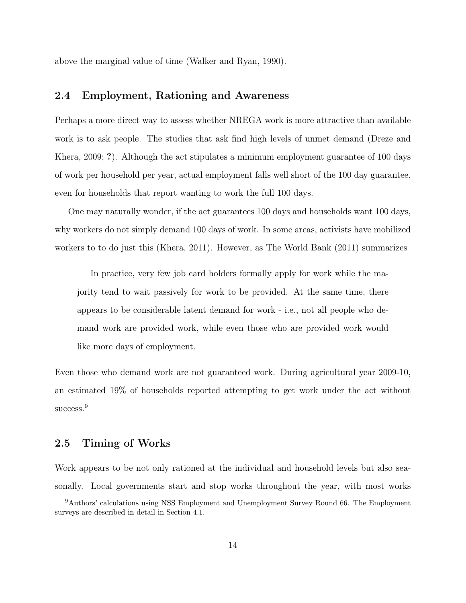above the marginal value of time (Walker and Ryan, 1990).

## 2.4 Employment, Rationing and Awareness

Perhaps a more direct way to assess whether NREGA work is more attractive than available work is to ask people. The studies that ask find high levels of unmet demand (Dreze and Khera, 2009; ?). Although the act stipulates a minimum employment guarantee of 100 days of work per household per year, actual employment falls well short of the 100 day guarantee, even for households that report wanting to work the full 100 days.

One may naturally wonder, if the act guarantees 100 days and households want 100 days, why workers do not simply demand 100 days of work. In some areas, activists have mobilized workers to to do just this (Khera, 2011). However, as The World Bank (2011) summarizes

In practice, very few job card holders formally apply for work while the majority tend to wait passively for work to be provided. At the same time, there appears to be considerable latent demand for work - i.e., not all people who demand work are provided work, while even those who are provided work would like more days of employment.

Even those who demand work are not guaranteed work. During agricultural year 2009-10, an estimated 19% of households reported attempting to get work under the act without success.<sup>9</sup>

## 2.5 Timing of Works

Work appears to be not only rationed at the individual and household levels but also seasonally. Local governments start and stop works throughout the year, with most works

<sup>9</sup>Authors' calculations using NSS Employment and Unemployment Survey Round 66. The Employment surveys are described in detail in Section 4.1.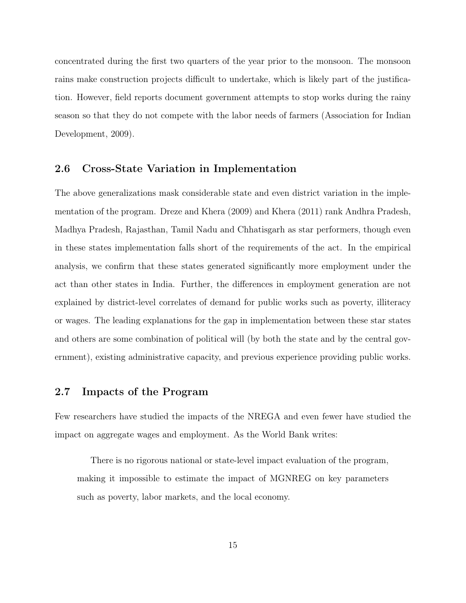concentrated during the first two quarters of the year prior to the monsoon. The monsoon rains make construction projects difficult to undertake, which is likely part of the justification. However, field reports document government attempts to stop works during the rainy season so that they do not compete with the labor needs of farmers (Association for Indian Development, 2009).

## 2.6 Cross-State Variation in Implementation

The above generalizations mask considerable state and even district variation in the implementation of the program. Dreze and Khera (2009) and Khera (2011) rank Andhra Pradesh, Madhya Pradesh, Rajasthan, Tamil Nadu and Chhatisgarh as star performers, though even in these states implementation falls short of the requirements of the act. In the empirical analysis, we confirm that these states generated significantly more employment under the act than other states in India. Further, the differences in employment generation are not explained by district-level correlates of demand for public works such as poverty, illiteracy or wages. The leading explanations for the gap in implementation between these star states and others are some combination of political will (by both the state and by the central government), existing administrative capacity, and previous experience providing public works.

## 2.7 Impacts of the Program

Few researchers have studied the impacts of the NREGA and even fewer have studied the impact on aggregate wages and employment. As the World Bank writes:

There is no rigorous national or state-level impact evaluation of the program, making it impossible to estimate the impact of MGNREG on key parameters such as poverty, labor markets, and the local economy.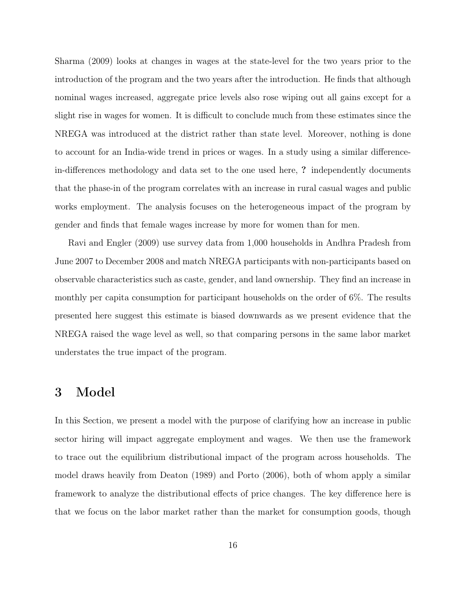Sharma (2009) looks at changes in wages at the state-level for the two years prior to the introduction of the program and the two years after the introduction. He finds that although nominal wages increased, aggregate price levels also rose wiping out all gains except for a slight rise in wages for women. It is difficult to conclude much from these estimates since the NREGA was introduced at the district rather than state level. Moreover, nothing is done to account for an India-wide trend in prices or wages. In a study using a similar differencein-differences methodology and data set to the one used here, ? independently documents that the phase-in of the program correlates with an increase in rural casual wages and public works employment. The analysis focuses on the heterogeneous impact of the program by gender and finds that female wages increase by more for women than for men.

Ravi and Engler (2009) use survey data from 1,000 households in Andhra Pradesh from June 2007 to December 2008 and match NREGA participants with non-participants based on observable characteristics such as caste, gender, and land ownership. They find an increase in monthly per capita consumption for participant households on the order of 6%. The results presented here suggest this estimate is biased downwards as we present evidence that the NREGA raised the wage level as well, so that comparing persons in the same labor market understates the true impact of the program.

## 3 Model

In this Section, we present a model with the purpose of clarifying how an increase in public sector hiring will impact aggregate employment and wages. We then use the framework to trace out the equilibrium distributional impact of the program across households. The model draws heavily from Deaton (1989) and Porto (2006), both of whom apply a similar framework to analyze the distributional effects of price changes. The key difference here is that we focus on the labor market rather than the market for consumption goods, though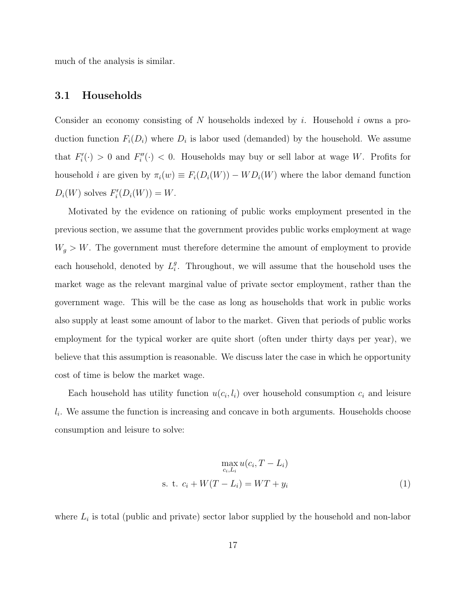much of the analysis is similar.

## 3.1 Households

Consider an economy consisting of  $N$  households indexed by  $i$ . Household  $i$  owns a production function  $F_i(D_i)$  where  $D_i$  is labor used (demanded) by the household. We assume that  $F_i'(\cdot) > 0$  and  $F_i''(\cdot) < 0$ . Households may buy or sell labor at wage W. Profits for household *i* are given by  $\pi_i(w) \equiv F_i(D_i(W)) - WD_i(W)$  where the labor demand function  $D_i(W)$  solves  $F_i'(D_i(W)) = W$ .

Motivated by the evidence on rationing of public works employment presented in the previous section, we assume that the government provides public works employment at wage  $W_g > W$ . The government must therefore determine the amount of employment to provide each household, denoted by  $L_i^g$  $i$ . Throughout, we will assume that the household uses the market wage as the relevant marginal value of private sector employment, rather than the government wage. This will be the case as long as households that work in public works also supply at least some amount of labor to the market. Given that periods of public works employment for the typical worker are quite short (often under thirty days per year), we believe that this assumption is reasonable. We discuss later the case in which he opportunity cost of time is below the market wage.

Each household has utility function  $u(c_i, l_i)$  over household consumption  $c_i$  and leisure  $l_i$ . We assume the function is increasing and concave in both arguments. Households choose consumption and leisure to solve:

$$
\max_{c_i, L_i} u(c_i, T - L_i)
$$
  
s. t. 
$$
c_i + W(T - L_i) = WT + y_i
$$
 (1)

where  $L_i$  is total (public and private) sector labor supplied by the household and non-labor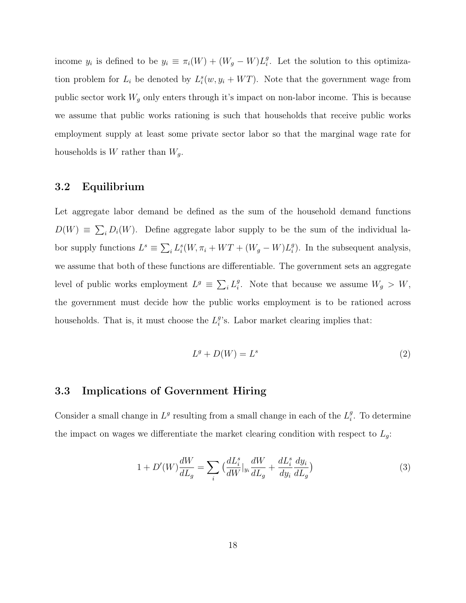income  $y_i$  is defined to be  $y_i \equiv \pi_i(W) + (W_g - W)L_i^g$  $_i^g$ . Let the solution to this optimization problem for  $L_i$  be denoted by  $L_i^s(w, y_i + WT)$ . Note that the government wage from public sector work  $W_g$  only enters through it's impact on non-labor income. This is because we assume that public works rationing is such that households that receive public works employment supply at least some private sector labor so that the marginal wage rate for households is  $W$  rather than  $W_g$ .

## 3.2 Equilibrium

Let aggregate labor demand be defined as the sum of the household demand functions  $D(W) \equiv \sum_i D_i(W)$ . Define aggregate labor supply to be the sum of the individual labor supply functions  $L^s \equiv \sum_i L_i^s(W, \pi_i + WT + (W_g - W)L_i^g)$  $_{i}^{g}$ ). In the subsequent analysis, we assume that both of these functions are differentiable. The government sets an aggregate level of public works employment  $L^g \equiv \sum_i L_i^g$ <sup>g</sup>. Note that because we assume  $W_g > W$ , the government must decide how the public works employment is to be rationed across households. That is, it must choose the  $L_i^g$  $_{i}^{g}$ 's. Labor market clearing implies that:

$$
L^g + D(W) = L^s \tag{2}
$$

## 3.3 Implications of Government Hiring

Consider a small change in  $L^g$  resulting from a small change in each of the  $L_i^g$  $_i^g$ . To determine the impact on wages we differentiate the market clearing condition with respect to  $L_g$ :

$$
1 + D'(W)\frac{dW}{dL_g} = \sum_i \left(\frac{dL_i^s}{dW}|_{y_i}\frac{dW}{dL_g} + \frac{dL_i^s}{dy_i}\frac{dy_i}{dL_g}\right) \tag{3}
$$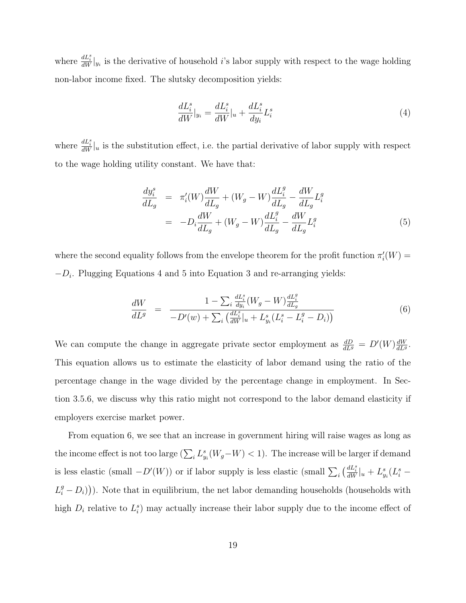where  $\frac{dL_i^s}{dW}|_{y_i}$  is the derivative of household *i*'s labor supply with respect to the wage holding non-labor income fixed. The slutsky decomposition yields:

$$
\frac{dL_i^s}{dW}|_{y_i} = \frac{dL_i^s}{dW}|_u + \frac{dL_i^s}{dy_i}L_i^s
$$
\n<sup>(4)</sup>

where  $\frac{dL_i^s}{dW}\Big|_u$  is the substitution effect, i.e. the partial derivative of labor supply with respect to the wage holding utility constant. We have that:

$$
\frac{dy_i^s}{dL_g} = \pi_i'(W)\frac{dW}{dL_g} + (W_g - W)\frac{dL_i^g}{dL_g} - \frac{dW}{dL_g}L_i^g
$$
\n
$$
= -D_i\frac{dW}{dL_g} + (W_g - W)\frac{dL_i^g}{dL_g} - \frac{dW}{dL_g}L_i^g
$$
\n(5)

where the second equality follows from the envelope theorem for the profit function  $\pi'_i(W)$  =  $-D_i$ . Plugging Equations 4 and 5 into Equation 3 and re-arranging yields:

$$
\frac{dW}{dL^g} = \frac{1 - \sum_{i} \frac{dL_i^s}{dy_i} (W_g - W) \frac{dL_i^g}{dL_g}}{-D'(w) + \sum_{i} \left(\frac{dL_i^s}{dW} |_{u} + L_{y_i}^s (L_i^s - L_i^g - D_i)\right)}
$$
(6)

We can compute the change in aggregate private sector employment as  $\frac{dD}{dL^g} = D'(W) \frac{dW}{dL^g}$  $\frac{dW}{dL^g}$ . This equation allows us to estimate the elasticity of labor demand using the ratio of the percentage change in the wage divided by the percentage change in employment. In Section 3.5.6, we discuss why this ratio might not correspond to the labor demand elasticity if employers exercise market power.

From equation 6, we see that an increase in government hiring will raise wages as long as the income effect is not too large  $(\sum_i L_{y_i}^s(W_g-W) < 1)$ . The increase will be larger if demand is less elastic (small  $-D'(W)$ ) or if labor supply is less elastic (small  $\sum_i \left(\frac{dL_i^s}{dW}\right)_{u} + L_{y_i}^s (L_i^s L_i^g - D_i$ )). Note that in equilibrium, the net labor demanding households (households with high  $D_i$  relative to  $L_i^s$ ) may actually increase their labor supply due to the income effect of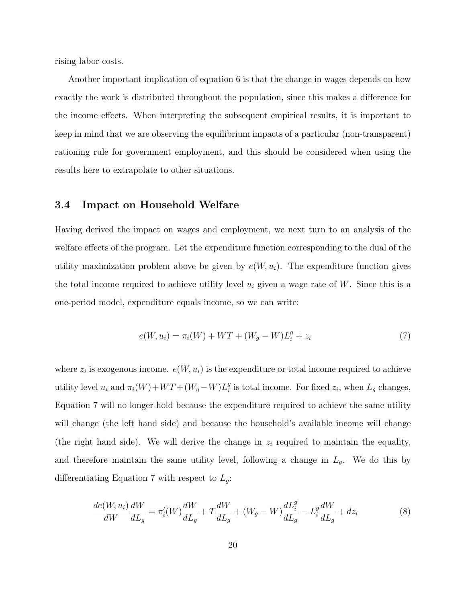rising labor costs.

Another important implication of equation 6 is that the change in wages depends on how exactly the work is distributed throughout the population, since this makes a difference for the income effects. When interpreting the subsequent empirical results, it is important to keep in mind that we are observing the equilibrium impacts of a particular (non-transparent) rationing rule for government employment, and this should be considered when using the results here to extrapolate to other situations.

### 3.4 Impact on Household Welfare

Having derived the impact on wages and employment, we next turn to an analysis of the welfare effects of the program. Let the expenditure function corresponding to the dual of the utility maximization problem above be given by  $e(W, u_i)$ . The expenditure function gives the total income required to achieve utility level  $u_i$  given a wage rate of W. Since this is a one-period model, expenditure equals income, so we can write:

$$
e(W, u_i) = \pi_i(W) + WT + (W_g - W)L_i^g + z_i
$$
\n(7)

where  $z_i$  is exogenous income.  $e(W, u_i)$  is the expenditure or total income required to achieve utility level  $u_i$  and  $\pi_i(W) + WT + (W_g - W)L_i^g$  $_i^g$  is total income. For fixed  $z_i$ , when  $L_g$  changes, Equation 7 will no longer hold because the expenditure required to achieve the same utility will change (the left hand side) and because the household's available income will change (the right hand side). We will derive the change in  $z_i$  required to maintain the equality, and therefore maintain the same utility level, following a change in  $L_g$ . We do this by differentiating Equation 7 with respect to  $L_g$ :

$$
\frac{de(W, u_i)}{dW}\frac{dW}{dL_g} = \pi_i'(W)\frac{dW}{dL_g} + T\frac{dW}{dL_g} + (W_g - W)\frac{dL_i^g}{dL_g} - L_i^g\frac{dW}{dL_g} + dz_i
$$
\n<sup>(8)</sup>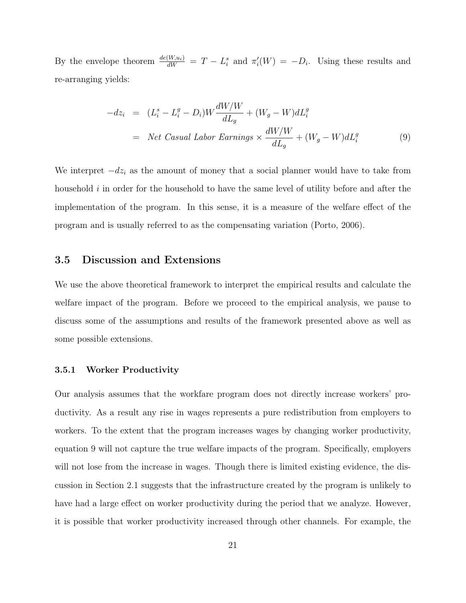By the envelope theorem  $\frac{de(W, u_i)}{dW} = T - L_i^s$  and  $\pi'_i(W) = -D_i$ . Using these results and re-arranging yields:

$$
-dz_i = (L_i^s - L_i^g - D_i)W \frac{dW/W}{dL_g} + (W_g - W)dL_i^g
$$
  
= Net Casual Labor Earning  $\times \frac{dW/W}{dL_g} + (W_g - W)dL_i^g$  (9)

We interpret  $-dz_i$  as the amount of money that a social planner would have to take from household i in order for the household to have the same level of utility before and after the implementation of the program. In this sense, it is a measure of the welfare effect of the program and is usually referred to as the compensating variation (Porto, 2006).

### 3.5 Discussion and Extensions

We use the above theoretical framework to interpret the empirical results and calculate the welfare impact of the program. Before we proceed to the empirical analysis, we pause to discuss some of the assumptions and results of the framework presented above as well as some possible extensions.

#### 3.5.1 Worker Productivity

Our analysis assumes that the workfare program does not directly increase workers' productivity. As a result any rise in wages represents a pure redistribution from employers to workers. To the extent that the program increases wages by changing worker productivity, equation 9 will not capture the true welfare impacts of the program. Specifically, employers will not lose from the increase in wages. Though there is limited existing evidence, the discussion in Section 2.1 suggests that the infrastructure created by the program is unlikely to have had a large effect on worker productivity during the period that we analyze. However, it is possible that worker productivity increased through other channels. For example, the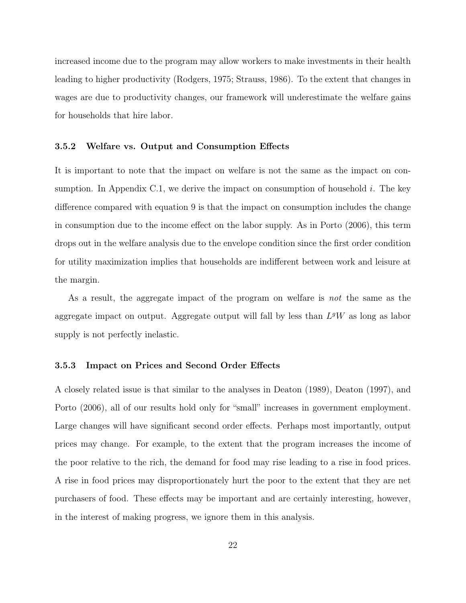increased income due to the program may allow workers to make investments in their health leading to higher productivity (Rodgers, 1975; Strauss, 1986). To the extent that changes in wages are due to productivity changes, our framework will underestimate the welfare gains for households that hire labor.

#### 3.5.2 Welfare vs. Output and Consumption Effects

It is important to note that the impact on welfare is not the same as the impact on consumption. In Appendix C.1, we derive the impact on consumption of household  $i$ . The key difference compared with equation 9 is that the impact on consumption includes the change in consumption due to the income effect on the labor supply. As in Porto (2006), this term drops out in the welfare analysis due to the envelope condition since the first order condition for utility maximization implies that households are indifferent between work and leisure at the margin.

As a result, the aggregate impact of the program on welfare is not the same as the aggregate impact on output. Aggregate output will fall by less than  $L^gW$  as long as labor supply is not perfectly inelastic.

#### 3.5.3 Impact on Prices and Second Order Effects

A closely related issue is that similar to the analyses in Deaton (1989), Deaton (1997), and Porto (2006), all of our results hold only for "small" increases in government employment. Large changes will have significant second order effects. Perhaps most importantly, output prices may change. For example, to the extent that the program increases the income of the poor relative to the rich, the demand for food may rise leading to a rise in food prices. A rise in food prices may disproportionately hurt the poor to the extent that they are net purchasers of food. These effects may be important and are certainly interesting, however, in the interest of making progress, we ignore them in this analysis.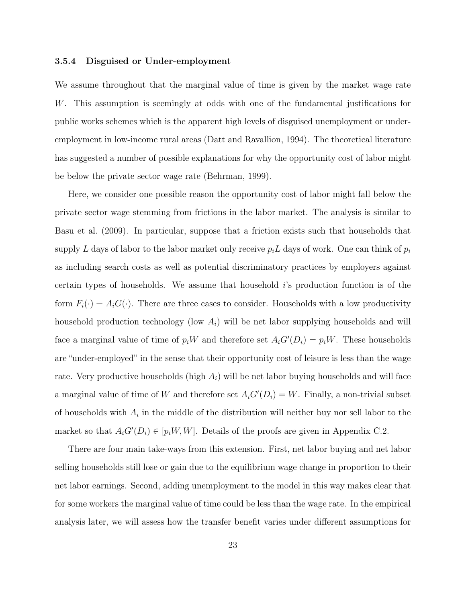#### 3.5.4 Disguised or Under-employment

We assume throughout that the marginal value of time is given by the market wage rate W. This assumption is seemingly at odds with one of the fundamental justifications for public works schemes which is the apparent high levels of disguised unemployment or underemployment in low-income rural areas (Datt and Ravallion, 1994). The theoretical literature has suggested a number of possible explanations for why the opportunity cost of labor might be below the private sector wage rate (Behrman, 1999).

Here, we consider one possible reason the opportunity cost of labor might fall below the private sector wage stemming from frictions in the labor market. The analysis is similar to Basu et al. (2009). In particular, suppose that a friction exists such that households that supply L days of labor to the labor market only receive  $p_i L$  days of work. One can think of  $p_i$ as including search costs as well as potential discriminatory practices by employers against certain types of households. We assume that household i's production function is of the form  $F_i(\cdot) = A_i G(\cdot)$ . There are three cases to consider. Households with a low productivity household production technology (low  $A_i$ ) will be net labor supplying households and will face a marginal value of time of  $p_i W$  and therefore set  $A_i G'(D_i) = p_i W$ . These households are "under-employed" in the sense that their opportunity cost of leisure is less than the wage rate. Very productive households (high  $A_i$ ) will be net labor buying households and will face a marginal value of time of W and therefore set  $A_iG'(D_i) = W$ . Finally, a non-trivial subset of households with  $A_i$  in the middle of the distribution will neither buy nor sell labor to the market so that  $A_i G'(D_i) \in [p_i W, W]$ . Details of the proofs are given in Appendix C.2.

There are four main take-ways from this extension. First, net labor buying and net labor selling households still lose or gain due to the equilibrium wage change in proportion to their net labor earnings. Second, adding unemployment to the model in this way makes clear that for some workers the marginal value of time could be less than the wage rate. In the empirical analysis later, we will assess how the transfer benefit varies under different assumptions for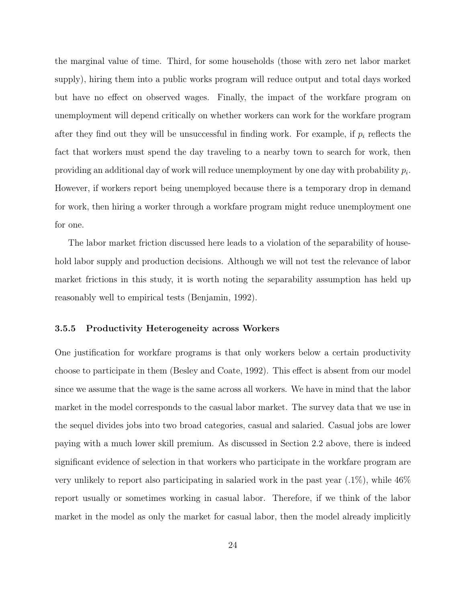the marginal value of time. Third, for some households (those with zero net labor market supply), hiring them into a public works program will reduce output and total days worked but have no effect on observed wages. Finally, the impact of the workfare program on unemployment will depend critically on whether workers can work for the workfare program after they find out they will be unsuccessful in finding work. For example, if  $p_i$  reflects the fact that workers must spend the day traveling to a nearby town to search for work, then providing an additional day of work will reduce unemployment by one day with probability  $p_i$ . However, if workers report being unemployed because there is a temporary drop in demand for work, then hiring a worker through a workfare program might reduce unemployment one for one.

The labor market friction discussed here leads to a violation of the separability of household labor supply and production decisions. Although we will not test the relevance of labor market frictions in this study, it is worth noting the separability assumption has held up reasonably well to empirical tests (Benjamin, 1992).

#### 3.5.5 Productivity Heterogeneity across Workers

One justification for workfare programs is that only workers below a certain productivity choose to participate in them (Besley and Coate, 1992). This effect is absent from our model since we assume that the wage is the same across all workers. We have in mind that the labor market in the model corresponds to the casual labor market. The survey data that we use in the sequel divides jobs into two broad categories, casual and salaried. Casual jobs are lower paying with a much lower skill premium. As discussed in Section 2.2 above, there is indeed significant evidence of selection in that workers who participate in the workfare program are very unlikely to report also participating in salaried work in the past year (.1%), while 46% report usually or sometimes working in casual labor. Therefore, if we think of the labor market in the model as only the market for casual labor, then the model already implicitly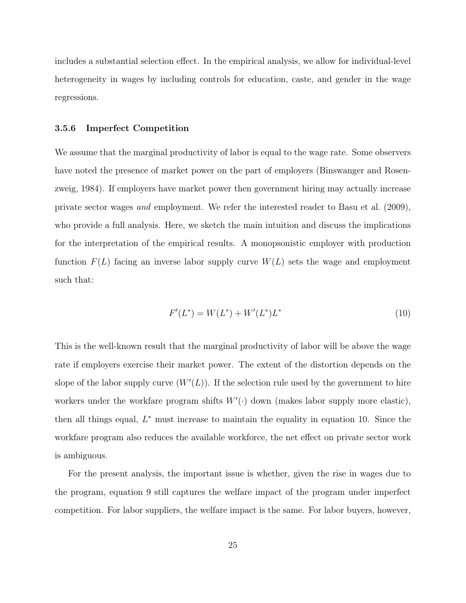includes a substantial selection effect. In the empirical analysis, we allow for individual-level heterogeneity in wages by including controls for education, caste, and gender in the wage regressions.

#### 3.5.6 Imperfect Competition

We assume that the marginal productivity of labor is equal to the wage rate. Some observers have noted the presence of market power on the part of employers (Binswanger and Rosenzweig, 1984). If employers have market power then government hiring may actually increase private sector wages and employment. We refer the interested reader to Basu et al. (2009), who provide a full analysis. Here, we sketch the main intuition and discuss the implications for the interpretation of the empirical results. A monopsonistic employer with production function  $F(L)$  facing an inverse labor supply curve  $W(L)$  sets the wage and employment such that:

$$
F'(L^*) = W(L^*) + W'(L^*)L^*
$$
\n(10)

This is the well-known result that the marginal productivity of labor will be above the wage rate if employers exercise their market power. The extent of the distortion depends on the slope of the labor supply curve  $(W'(L))$ . If the selection rule used by the government to hire workers under the workfare program shifts  $W'(\cdot)$  down (makes labor supply more elastic), then all things equal,  $L^*$  must increase to maintain the equality in equation 10. Since the workfare program also reduces the available workforce, the net effect on private sector work is ambiguous.

For the present analysis, the important issue is whether, given the rise in wages due to the program, equation 9 still captures the welfare impact of the program under imperfect competition. For labor suppliers, the welfare impact is the same. For labor buyers, however,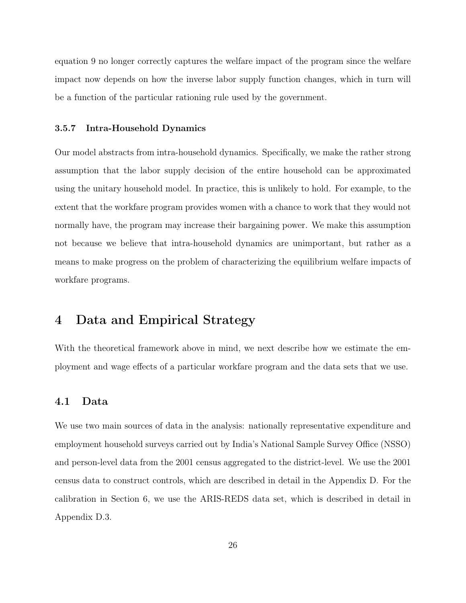equation 9 no longer correctly captures the welfare impact of the program since the welfare impact now depends on how the inverse labor supply function changes, which in turn will be a function of the particular rationing rule used by the government.

#### 3.5.7 Intra-Household Dynamics

Our model abstracts from intra-household dynamics. Specifically, we make the rather strong assumption that the labor supply decision of the entire household can be approximated using the unitary household model. In practice, this is unlikely to hold. For example, to the extent that the workfare program provides women with a chance to work that they would not normally have, the program may increase their bargaining power. We make this assumption not because we believe that intra-household dynamics are unimportant, but rather as a means to make progress on the problem of characterizing the equilibrium welfare impacts of workfare programs.

## 4 Data and Empirical Strategy

With the theoretical framework above in mind, we next describe how we estimate the employment and wage effects of a particular workfare program and the data sets that we use.

## 4.1 Data

We use two main sources of data in the analysis: nationally representative expenditure and employment household surveys carried out by India's National Sample Survey Office (NSSO) and person-level data from the 2001 census aggregated to the district-level. We use the 2001 census data to construct controls, which are described in detail in the Appendix D. For the calibration in Section 6, we use the ARIS-REDS data set, which is described in detail in Appendix D.3.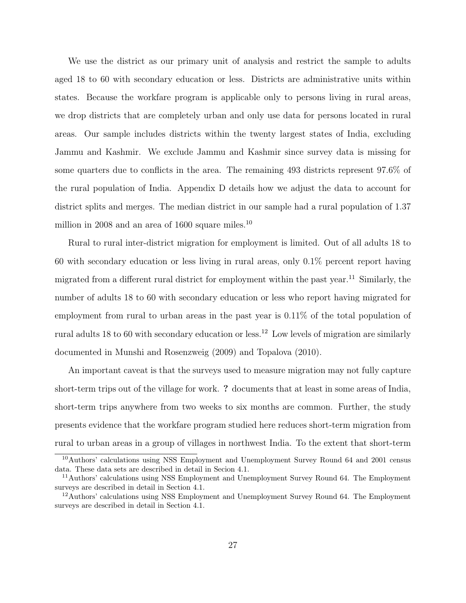We use the district as our primary unit of analysis and restrict the sample to adults aged 18 to 60 with secondary education or less. Districts are administrative units within states. Because the workfare program is applicable only to persons living in rural areas, we drop districts that are completely urban and only use data for persons located in rural areas. Our sample includes districts within the twenty largest states of India, excluding Jammu and Kashmir. We exclude Jammu and Kashmir since survey data is missing for some quarters due to conflicts in the area. The remaining 493 districts represent 97.6% of the rural population of India. Appendix D details how we adjust the data to account for district splits and merges. The median district in our sample had a rural population of 1.37 million in 2008 and an area of 1600 square miles.<sup>10</sup>

Rural to rural inter-district migration for employment is limited. Out of all adults 18 to 60 with secondary education or less living in rural areas, only 0.1% percent report having migrated from a different rural district for employment within the past year.<sup>11</sup> Similarly, the number of adults 18 to 60 with secondary education or less who report having migrated for employment from rural to urban areas in the past year is 0.11% of the total population of rural adults 18 to 60 with secondary education or less.<sup>12</sup> Low levels of migration are similarly documented in Munshi and Rosenzweig (2009) and Topalova (2010).

An important caveat is that the surveys used to measure migration may not fully capture short-term trips out of the village for work. ? documents that at least in some areas of India, short-term trips anywhere from two weeks to six months are common. Further, the study presents evidence that the workfare program studied here reduces short-term migration from rural to urban areas in a group of villages in northwest India. To the extent that short-term

<sup>10</sup>Authors' calculations using NSS Employment and Unemployment Survey Round 64 and 2001 census data. These data sets are described in detail in Secion 4.1.

<sup>&</sup>lt;sup>11</sup>Authors' calculations using NSS Employment and Unemployment Survey Round 64. The Employment surveys are described in detail in Section 4.1.

<sup>&</sup>lt;sup>12</sup>Authors' calculations using NSS Employment and Unemployment Survey Round 64. The Employment surveys are described in detail in Section 4.1.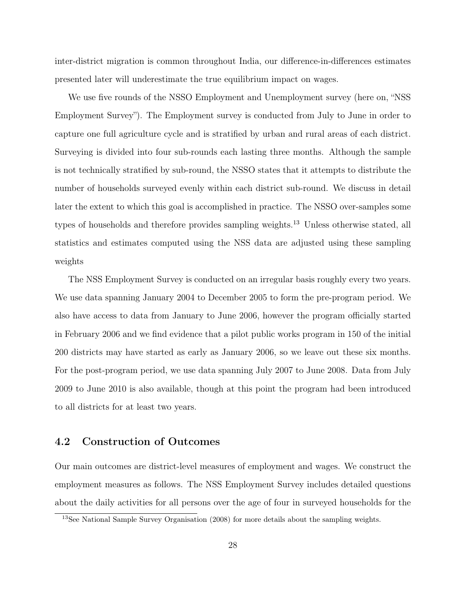inter-district migration is common throughout India, our difference-in-differences estimates presented later will underestimate the true equilibrium impact on wages.

We use five rounds of the NSSO Employment and Unemployment survey (here on, "NSS Employment Survey"). The Employment survey is conducted from July to June in order to capture one full agriculture cycle and is stratified by urban and rural areas of each district. Surveying is divided into four sub-rounds each lasting three months. Although the sample is not technically stratified by sub-round, the NSSO states that it attempts to distribute the number of households surveyed evenly within each district sub-round. We discuss in detail later the extent to which this goal is accomplished in practice. The NSSO over-samples some types of households and therefore provides sampling weights.<sup>13</sup> Unless otherwise stated, all statistics and estimates computed using the NSS data are adjusted using these sampling weights

The NSS Employment Survey is conducted on an irregular basis roughly every two years. We use data spanning January 2004 to December 2005 to form the pre-program period. We also have access to data from January to June 2006, however the program officially started in February 2006 and we find evidence that a pilot public works program in 150 of the initial 200 districts may have started as early as January 2006, so we leave out these six months. For the post-program period, we use data spanning July 2007 to June 2008. Data from July 2009 to June 2010 is also available, though at this point the program had been introduced to all districts for at least two years.

## 4.2 Construction of Outcomes

Our main outcomes are district-level measures of employment and wages. We construct the employment measures as follows. The NSS Employment Survey includes detailed questions about the daily activities for all persons over the age of four in surveyed households for the

<sup>&</sup>lt;sup>13</sup>See National Sample Survey Organisation (2008) for more details about the sampling weights.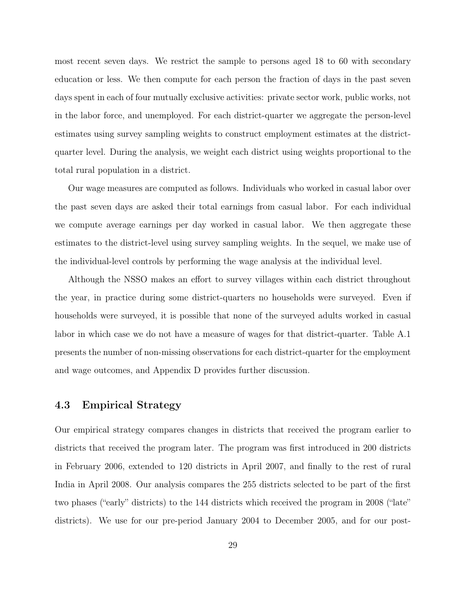most recent seven days. We restrict the sample to persons aged 18 to 60 with secondary education or less. We then compute for each person the fraction of days in the past seven days spent in each of four mutually exclusive activities: private sector work, public works, not in the labor force, and unemployed. For each district-quarter we aggregate the person-level estimates using survey sampling weights to construct employment estimates at the districtquarter level. During the analysis, we weight each district using weights proportional to the total rural population in a district.

Our wage measures are computed as follows. Individuals who worked in casual labor over the past seven days are asked their total earnings from casual labor. For each individual we compute average earnings per day worked in casual labor. We then aggregate these estimates to the district-level using survey sampling weights. In the sequel, we make use of the individual-level controls by performing the wage analysis at the individual level.

Although the NSSO makes an effort to survey villages within each district throughout the year, in practice during some district-quarters no households were surveyed. Even if households were surveyed, it is possible that none of the surveyed adults worked in casual labor in which case we do not have a measure of wages for that district-quarter. Table A.1 presents the number of non-missing observations for each district-quarter for the employment and wage outcomes, and Appendix D provides further discussion.

## 4.3 Empirical Strategy

Our empirical strategy compares changes in districts that received the program earlier to districts that received the program later. The program was first introduced in 200 districts in February 2006, extended to 120 districts in April 2007, and finally to the rest of rural India in April 2008. Our analysis compares the 255 districts selected to be part of the first two phases ("early" districts) to the 144 districts which received the program in 2008 ("late" districts). We use for our pre-period January 2004 to December 2005, and for our post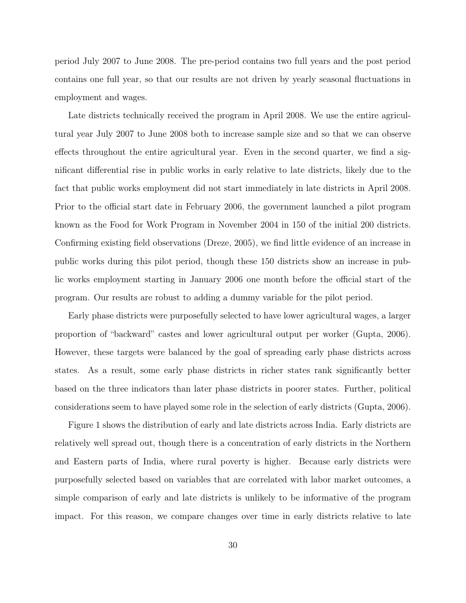period July 2007 to June 2008. The pre-period contains two full years and the post period contains one full year, so that our results are not driven by yearly seasonal fluctuations in employment and wages.

Late districts technically received the program in April 2008. We use the entire agricultural year July 2007 to June 2008 both to increase sample size and so that we can observe effects throughout the entire agricultural year. Even in the second quarter, we find a significant differential rise in public works in early relative to late districts, likely due to the fact that public works employment did not start immediately in late districts in April 2008. Prior to the official start date in February 2006, the government launched a pilot program known as the Food for Work Program in November 2004 in 150 of the initial 200 districts. Confirming existing field observations (Dreze, 2005), we find little evidence of an increase in public works during this pilot period, though these 150 districts show an increase in public works employment starting in January 2006 one month before the official start of the program. Our results are robust to adding a dummy variable for the pilot period.

Early phase districts were purposefully selected to have lower agricultural wages, a larger proportion of "backward" castes and lower agricultural output per worker (Gupta, 2006). However, these targets were balanced by the goal of spreading early phase districts across states. As a result, some early phase districts in richer states rank significantly better based on the three indicators than later phase districts in poorer states. Further, political considerations seem to have played some role in the selection of early districts (Gupta, 2006).

Figure 1 shows the distribution of early and late districts across India. Early districts are relatively well spread out, though there is a concentration of early districts in the Northern and Eastern parts of India, where rural poverty is higher. Because early districts were purposefully selected based on variables that are correlated with labor market outcomes, a simple comparison of early and late districts is unlikely to be informative of the program impact. For this reason, we compare changes over time in early districts relative to late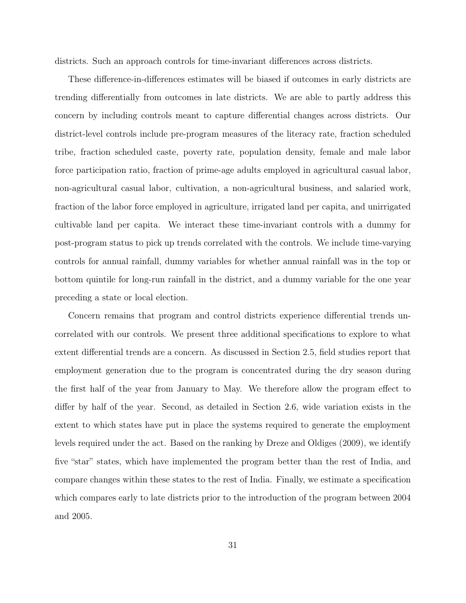districts. Such an approach controls for time-invariant differences across districts.

These difference-in-differences estimates will be biased if outcomes in early districts are trending differentially from outcomes in late districts. We are able to partly address this concern by including controls meant to capture differential changes across districts. Our district-level controls include pre-program measures of the literacy rate, fraction scheduled tribe, fraction scheduled caste, poverty rate, population density, female and male labor force participation ratio, fraction of prime-age adults employed in agricultural casual labor, non-agricultural casual labor, cultivation, a non-agricultural business, and salaried work, fraction of the labor force employed in agriculture, irrigated land per capita, and unirrigated cultivable land per capita. We interact these time-invariant controls with a dummy for post-program status to pick up trends correlated with the controls. We include time-varying controls for annual rainfall, dummy variables for whether annual rainfall was in the top or bottom quintile for long-run rainfall in the district, and a dummy variable for the one year preceding a state or local election.

Concern remains that program and control districts experience differential trends uncorrelated with our controls. We present three additional specifications to explore to what extent differential trends are a concern. As discussed in Section 2.5, field studies report that employment generation due to the program is concentrated during the dry season during the first half of the year from January to May. We therefore allow the program effect to differ by half of the year. Second, as detailed in Section 2.6, wide variation exists in the extent to which states have put in place the systems required to generate the employment levels required under the act. Based on the ranking by Dreze and Oldiges (2009), we identify five "star" states, which have implemented the program better than the rest of India, and compare changes within these states to the rest of India. Finally, we estimate a specification which compares early to late districts prior to the introduction of the program between 2004 and 2005.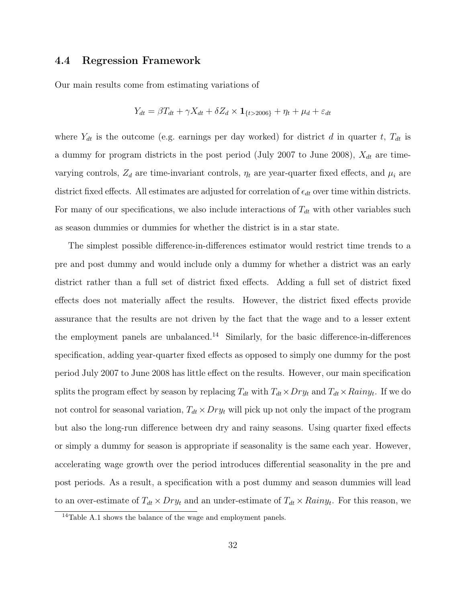### 4.4 Regression Framework

Our main results come from estimating variations of

$$
Y_{dt} = \beta T_{dt} + \gamma X_{dt} + \delta Z_d \times \mathbf{1}_{\{t > 2006\}} + \eta_t + \mu_d + \varepsilon_{dt}
$$

where  $Y_{dt}$  is the outcome (e.g. earnings per day worked) for district d in quarter t,  $T_{dt}$  is a dummy for program districts in the post period (July 2007 to June 2008),  $X_{dt}$  are timevarying controls,  $Z_d$  are time-invariant controls,  $\eta_t$  are year-quarter fixed effects, and  $\mu_i$  are district fixed effects. All estimates are adjusted for correlation of  $\epsilon_{dt}$  over time within districts. For many of our specifications, we also include interactions of  $T_{dt}$  with other variables such as season dummies or dummies for whether the district is in a star state.

The simplest possible difference-in-differences estimator would restrict time trends to a pre and post dummy and would include only a dummy for whether a district was an early district rather than a full set of district fixed effects. Adding a full set of district fixed effects does not materially affect the results. However, the district fixed effects provide assurance that the results are not driven by the fact that the wage and to a lesser extent the employment panels are unbalanced.<sup>14</sup> Similarly, for the basic difference-in-differences specification, adding year-quarter fixed effects as opposed to simply one dummy for the post period July 2007 to June 2008 has little effect on the results. However, our main specification splits the program effect by season by replacing  $T_{dt}$  with  $T_{dt} \times Dry_t$  and  $T_{dt} \times Rainy_t$ . If we do not control for seasonal variation,  $T_{dt} \times Dry_t$  will pick up not only the impact of the program but also the long-run difference between dry and rainy seasons. Using quarter fixed effects or simply a dummy for season is appropriate if seasonality is the same each year. However, accelerating wage growth over the period introduces differential seasonality in the pre and post periods. As a result, a specification with a post dummy and season dummies will lead to an over-estimate of  $T_{dt} \times Dry_t$  and an under-estimate of  $T_{dt} \times Rainy_t$ . For this reason, we

<sup>14</sup>Table A.1 shows the balance of the wage and employment panels.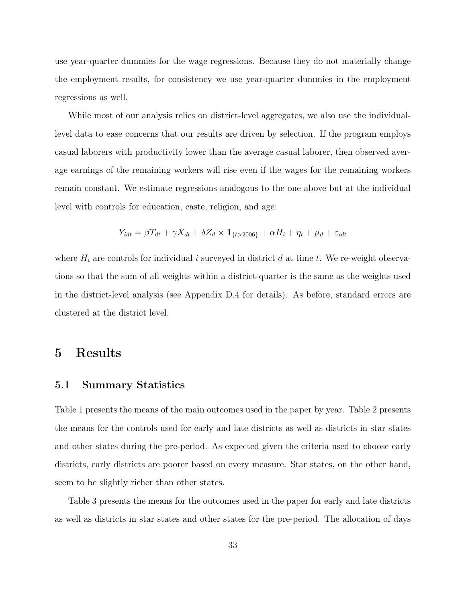use year-quarter dummies for the wage regressions. Because they do not materially change the employment results, for consistency we use year-quarter dummies in the employment regressions as well.

While most of our analysis relies on district-level aggregates, we also use the individuallevel data to ease concerns that our results are driven by selection. If the program employs casual laborers with productivity lower than the average casual laborer, then observed average earnings of the remaining workers will rise even if the wages for the remaining workers remain constant. We estimate regressions analogous to the one above but at the individual level with controls for education, caste, religion, and age:

$$
Y_{idt} = \beta T_{dt} + \gamma X_{dt} + \delta Z_d \times \mathbf{1}_{\{t > 2006\}} + \alpha H_i + \eta_t + \mu_d + \varepsilon_{idt}
$$

where  $H_i$  are controls for individual i surveyed in district d at time t. We re-weight observations so that the sum of all weights within a district-quarter is the same as the weights used in the district-level analysis (see Appendix D.4 for details). As before, standard errors are clustered at the district level.

## 5 Results

### 5.1 Summary Statistics

Table 1 presents the means of the main outcomes used in the paper by year. Table 2 presents the means for the controls used for early and late districts as well as districts in star states and other states during the pre-period. As expected given the criteria used to choose early districts, early districts are poorer based on every measure. Star states, on the other hand, seem to be slightly richer than other states.

Table 3 presents the means for the outcomes used in the paper for early and late districts as well as districts in star states and other states for the pre-period. The allocation of days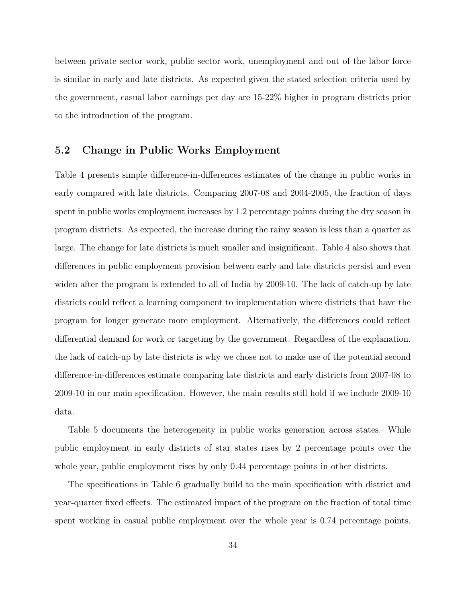between private sector work, public sector work, unemployment and out of the labor force is similar in early and late districts. As expected given the stated selection criteria used by the government, casual labor earnings per day are 15-22% higher in program districts prior to the introduction of the program.

## 5.2 Change in Public Works Employment

Table 4 presents simple difference-in-differences estimates of the change in public works in early compared with late districts. Comparing 2007-08 and 2004-2005, the fraction of days spent in public works employment increases by 1.2 percentage points during the dry season in program districts. As expected, the increase during the rainy season is less than a quarter as large. The change for late districts is much smaller and insignificant. Table 4 also shows that differences in public employment provision between early and late districts persist and even widen after the program is extended to all of India by 2009-10. The lack of catch-up by late districts could reflect a learning component to implementation where districts that have the program for longer generate more employment. Alternatively, the differences could reflect differential demand for work or targeting by the government. Regardless of the explanation, the lack of catch-up by late districts is why we chose not to make use of the potential second difference-in-differences estimate comparing late districts and early districts from 2007-08 to 2009-10 in our main specification. However, the main results still hold if we include 2009-10 data.

Table 5 documents the heterogeneity in public works generation across states. While public employment in early districts of star states rises by 2 percentage points over the whole year, public employment rises by only 0.44 percentage points in other districts.

The specifications in Table 6 gradually build to the main specification with district and year-quarter fixed effects. The estimated impact of the program on the fraction of total time spent working in casual public employment over the whole year is 0.74 percentage points.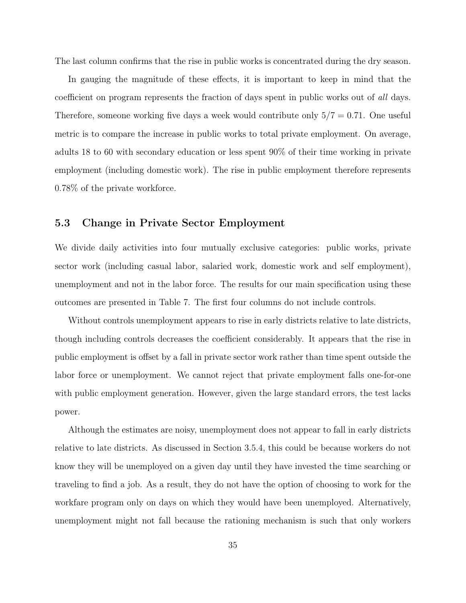The last column confirms that the rise in public works is concentrated during the dry season.

In gauging the magnitude of these effects, it is important to keep in mind that the coefficient on program represents the fraction of days spent in public works out of all days. Therefore, someone working five days a week would contribute only  $5/7 = 0.71$ . One useful metric is to compare the increase in public works to total private employment. On average, adults 18 to 60 with secondary education or less spent 90% of their time working in private employment (including domestic work). The rise in public employment therefore represents 0.78% of the private workforce.

## 5.3 Change in Private Sector Employment

We divide daily activities into four mutually exclusive categories: public works, private sector work (including casual labor, salaried work, domestic work and self employment), unemployment and not in the labor force. The results for our main specification using these outcomes are presented in Table 7. The first four columns do not include controls.

Without controls unemployment appears to rise in early districts relative to late districts, though including controls decreases the coefficient considerably. It appears that the rise in public employment is offset by a fall in private sector work rather than time spent outside the labor force or unemployment. We cannot reject that private employment falls one-for-one with public employment generation. However, given the large standard errors, the test lacks power.

Although the estimates are noisy, unemployment does not appear to fall in early districts relative to late districts. As discussed in Section 3.5.4, this could be because workers do not know they will be unemployed on a given day until they have invested the time searching or traveling to find a job. As a result, they do not have the option of choosing to work for the workfare program only on days on which they would have been unemployed. Alternatively, unemployment might not fall because the rationing mechanism is such that only workers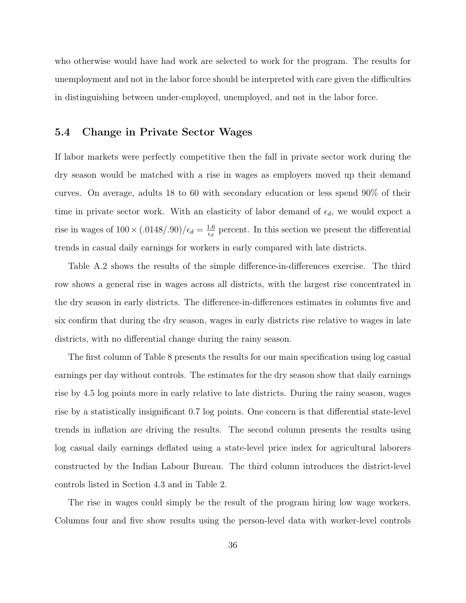who otherwise would have had work are selected to work for the program. The results for unemployment and not in the labor force should be interpreted with care given the difficulties in distinguishing between under-employed, unemployed, and not in the labor force.

### 5.4 Change in Private Sector Wages

If labor markets were perfectly competitive then the fall in private sector work during the dry season would be matched with a rise in wages as employers moved up their demand curves. On average, adults 18 to 60 with secondary education or less spend 90% of their time in private sector work. With an elasticity of labor demand of  $\epsilon_d$ , we would expect a rise in wages of  $100 \times (0.0148/0.90)/\epsilon_d = \frac{1.6}{\epsilon_d}$  $\frac{1.6}{\epsilon_d}$  percent. In this section we present the differential trends in casual daily earnings for workers in early compared with late districts.

Table A.2 shows the results of the simple difference-in-differences exercise. The third row shows a general rise in wages across all districts, with the largest rise concentrated in the dry season in early districts. The difference-in-differences estimates in columns five and six confirm that during the dry season, wages in early districts rise relative to wages in late districts, with no differential change during the rainy season.

The first column of Table 8 presents the results for our main specification using log casual earnings per day without controls. The estimates for the dry season show that daily earnings rise by 4.5 log points more in early relative to late districts. During the rainy season, wages rise by a statistically insignificant 0.7 log points. One concern is that differential state-level trends in inflation are driving the results. The second column presents the results using log casual daily earnings deflated using a state-level price index for agricultural laborers constructed by the Indian Labour Bureau. The third column introduces the district-level controls listed in Section 4.3 and in Table 2.

The rise in wages could simply be the result of the program hiring low wage workers. Columns four and five show results using the person-level data with worker-level controls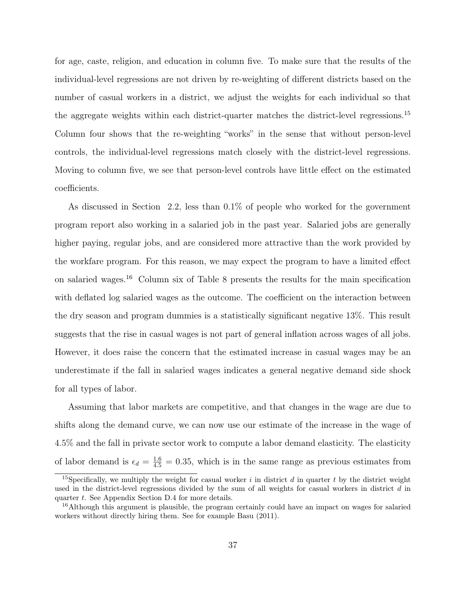for age, caste, religion, and education in column five. To make sure that the results of the individual-level regressions are not driven by re-weighting of different districts based on the number of casual workers in a district, we adjust the weights for each individual so that the aggregate weights within each district-quarter matches the district-level regressions.<sup>15</sup> Column four shows that the re-weighting "works" in the sense that without person-level controls, the individual-level regressions match closely with the district-level regressions. Moving to column five, we see that person-level controls have little effect on the estimated coefficients.

As discussed in Section 2.2, less than 0.1% of people who worked for the government program report also working in a salaried job in the past year. Salaried jobs are generally higher paying, regular jobs, and are considered more attractive than the work provided by the workfare program. For this reason, we may expect the program to have a limited effect on salaried wages.<sup>16</sup> Column six of Table 8 presents the results for the main specification with deflated log salaried wages as the outcome. The coefficient on the interaction between the dry season and program dummies is a statistically significant negative 13%. This result suggests that the rise in casual wages is not part of general inflation across wages of all jobs. However, it does raise the concern that the estimated increase in casual wages may be an underestimate if the fall in salaried wages indicates a general negative demand side shock for all types of labor.

Assuming that labor markets are competitive, and that changes in the wage are due to shifts along the demand curve, we can now use our estimate of the increase in the wage of 4.5% and the fall in private sector work to compute a labor demand elasticity. The elasticity of labor demand is  $\epsilon_d = \frac{1.6}{4.5} = 0.35$ , which is in the same range as previous estimates from

<sup>&</sup>lt;sup>15</sup>Specifically, we multiply the weight for casual worker i in district d in quarter t by the district weight used in the district-level regressions divided by the sum of all weights for casual workers in district d in quarter t. See Appendix Section D.4 for more details.

<sup>&</sup>lt;sup>16</sup>Although this argument is plausible, the program certainly could have an impact on wages for salaried workers without directly hiring them. See for example Basu (2011).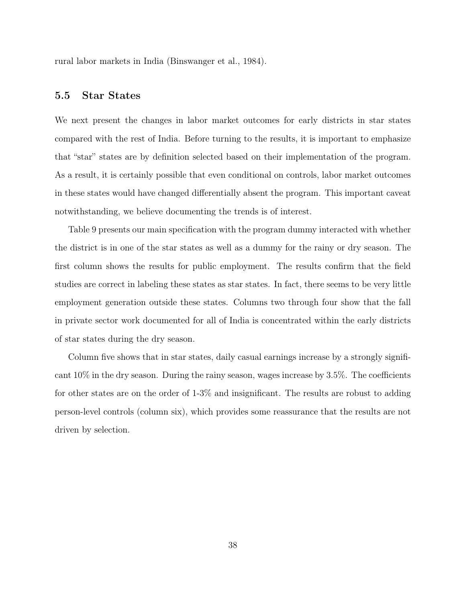rural labor markets in India (Binswanger et al., 1984).

# 5.5 Star States

We next present the changes in labor market outcomes for early districts in star states compared with the rest of India. Before turning to the results, it is important to emphasize that "star" states are by definition selected based on their implementation of the program. As a result, it is certainly possible that even conditional on controls, labor market outcomes in these states would have changed differentially absent the program. This important caveat notwithstanding, we believe documenting the trends is of interest.

Table 9 presents our main specification with the program dummy interacted with whether the district is in one of the star states as well as a dummy for the rainy or dry season. The first column shows the results for public employment. The results confirm that the field studies are correct in labeling these states as star states. In fact, there seems to be very little employment generation outside these states. Columns two through four show that the fall in private sector work documented for all of India is concentrated within the early districts of star states during the dry season.

Column five shows that in star states, daily casual earnings increase by a strongly significant  $10\%$  in the dry season. During the rainy season, wages increase by 3.5%. The coefficients for other states are on the order of 1-3% and insignificant. The results are robust to adding person-level controls (column six), which provides some reassurance that the results are not driven by selection.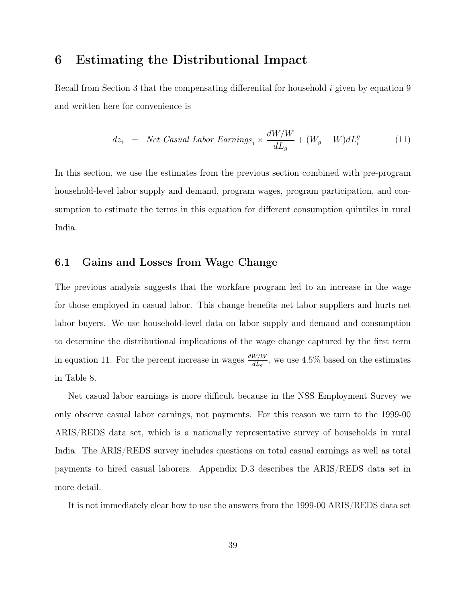# 6 Estimating the Distributional Impact

Recall from Section 3 that the compensating differential for household i given by equation 9 and written here for convenience is

$$
-dz_i = Net Casual Labor Earning_s \times \frac{dW/W}{dL_g} + (W_g - W)dL_i^g
$$
\n(11)

In this section, we use the estimates from the previous section combined with pre-program household-level labor supply and demand, program wages, program participation, and consumption to estimate the terms in this equation for different consumption quintiles in rural India.

### 6.1 Gains and Losses from Wage Change

The previous analysis suggests that the workfare program led to an increase in the wage for those employed in casual labor. This change benefits net labor suppliers and hurts net labor buyers. We use household-level data on labor supply and demand and consumption to determine the distributional implications of the wage change captured by the first term in equation 11. For the percent increase in wages  $\frac{dW/W}{dL_g}$ , we use 4.5% based on the estimates in Table 8.

Net casual labor earnings is more difficult because in the NSS Employment Survey we only observe casual labor earnings, not payments. For this reason we turn to the 1999-00 ARIS/REDS data set, which is a nationally representative survey of households in rural India. The ARIS/REDS survey includes questions on total casual earnings as well as total payments to hired casual laborers. Appendix D.3 describes the ARIS/REDS data set in more detail.

It is not immediately clear how to use the answers from the 1999-00 ARIS/REDS data set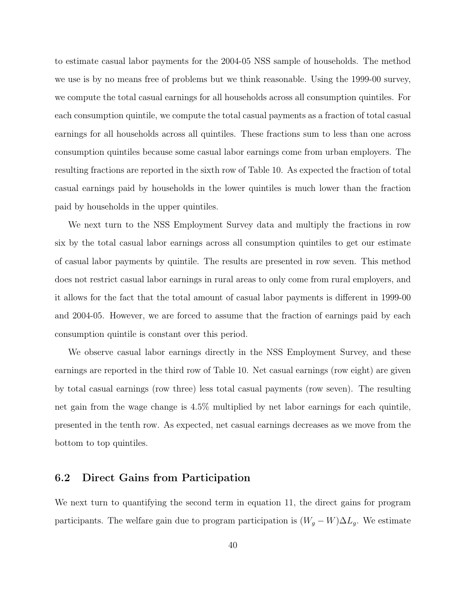to estimate casual labor payments for the 2004-05 NSS sample of households. The method we use is by no means free of problems but we think reasonable. Using the 1999-00 survey, we compute the total casual earnings for all households across all consumption quintiles. For each consumption quintile, we compute the total casual payments as a fraction of total casual earnings for all households across all quintiles. These fractions sum to less than one across consumption quintiles because some casual labor earnings come from urban employers. The resulting fractions are reported in the sixth row of Table 10. As expected the fraction of total casual earnings paid by households in the lower quintiles is much lower than the fraction paid by households in the upper quintiles.

We next turn to the NSS Employment Survey data and multiply the fractions in row six by the total casual labor earnings across all consumption quintiles to get our estimate of casual labor payments by quintile. The results are presented in row seven. This method does not restrict casual labor earnings in rural areas to only come from rural employers, and it allows for the fact that the total amount of casual labor payments is different in 1999-00 and 2004-05. However, we are forced to assume that the fraction of earnings paid by each consumption quintile is constant over this period.

We observe casual labor earnings directly in the NSS Employment Survey, and these earnings are reported in the third row of Table 10. Net casual earnings (row eight) are given by total casual earnings (row three) less total casual payments (row seven). The resulting net gain from the wage change is 4.5% multiplied by net labor earnings for each quintile, presented in the tenth row. As expected, net casual earnings decreases as we move from the bottom to top quintiles.

## 6.2 Direct Gains from Participation

We next turn to quantifying the second term in equation 11, the direct gains for program participants. The welfare gain due to program participation is  $(W_g - W) \Delta L_g$ . We estimate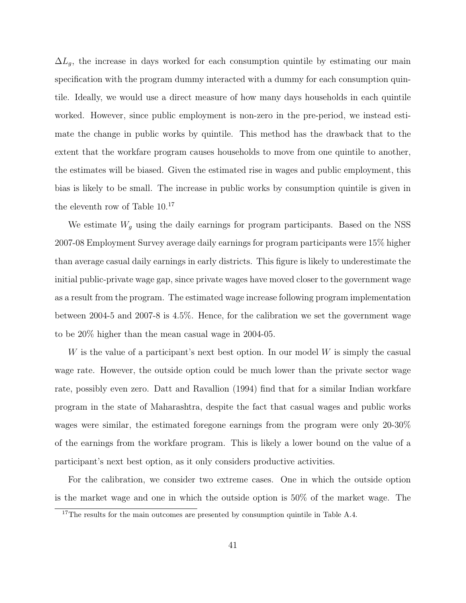$\Delta L_g$ , the increase in days worked for each consumption quintile by estimating our main specification with the program dummy interacted with a dummy for each consumption quintile. Ideally, we would use a direct measure of how many days households in each quintile worked. However, since public employment is non-zero in the pre-period, we instead estimate the change in public works by quintile. This method has the drawback that to the extent that the workfare program causes households to move from one quintile to another, the estimates will be biased. Given the estimated rise in wages and public employment, this bias is likely to be small. The increase in public works by consumption quintile is given in the eleventh row of Table 10.<sup>17</sup>

We estimate  $W_g$  using the daily earnings for program participants. Based on the NSS 2007-08 Employment Survey average daily earnings for program participants were 15% higher than average casual daily earnings in early districts. This figure is likely to underestimate the initial public-private wage gap, since private wages have moved closer to the government wage as a result from the program. The estimated wage increase following program implementation between 2004-5 and 2007-8 is 4.5%. Hence, for the calibration we set the government wage to be 20% higher than the mean casual wage in 2004-05.

W is the value of a participant's next best option. In our model W is simply the casual wage rate. However, the outside option could be much lower than the private sector wage rate, possibly even zero. Datt and Ravallion (1994) find that for a similar Indian workfare program in the state of Maharashtra, despite the fact that casual wages and public works wages were similar, the estimated foregone earnings from the program were only 20-30% of the earnings from the workfare program. This is likely a lower bound on the value of a participant's next best option, as it only considers productive activities.

For the calibration, we consider two extreme cases. One in which the outside option is the market wage and one in which the outside option is 50% of the market wage. The

<sup>&</sup>lt;sup>17</sup>The results for the main outcomes are presented by consumption quintile in Table A.4.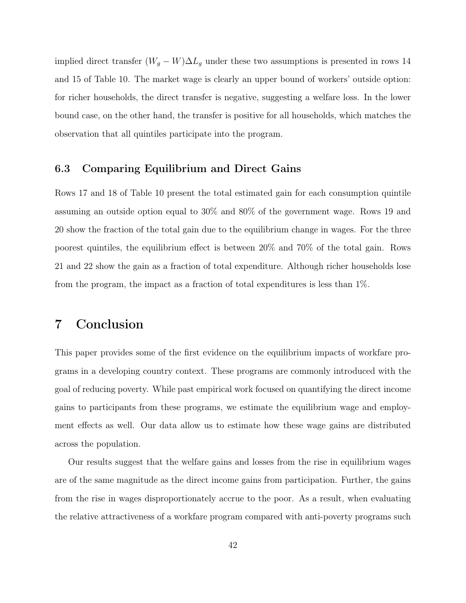implied direct transfer  $(W_g - W) \Delta L_g$  under these two assumptions is presented in rows 14 and 15 of Table 10. The market wage is clearly an upper bound of workers' outside option: for richer households, the direct transfer is negative, suggesting a welfare loss. In the lower bound case, on the other hand, the transfer is positive for all households, which matches the observation that all quintiles participate into the program.

# 6.3 Comparing Equilibrium and Direct Gains

Rows 17 and 18 of Table 10 present the total estimated gain for each consumption quintile assuming an outside option equal to 30% and 80% of the government wage. Rows 19 and 20 show the fraction of the total gain due to the equilibrium change in wages. For the three poorest quintiles, the equilibrium effect is between 20% and 70% of the total gain. Rows 21 and 22 show the gain as a fraction of total expenditure. Although richer households lose from the program, the impact as a fraction of total expenditures is less than 1%.

# 7 Conclusion

This paper provides some of the first evidence on the equilibrium impacts of workfare programs in a developing country context. These programs are commonly introduced with the goal of reducing poverty. While past empirical work focused on quantifying the direct income gains to participants from these programs, we estimate the equilibrium wage and employment effects as well. Our data allow us to estimate how these wage gains are distributed across the population.

Our results suggest that the welfare gains and losses from the rise in equilibrium wages are of the same magnitude as the direct income gains from participation. Further, the gains from the rise in wages disproportionately accrue to the poor. As a result, when evaluating the relative attractiveness of a workfare program compared with anti-poverty programs such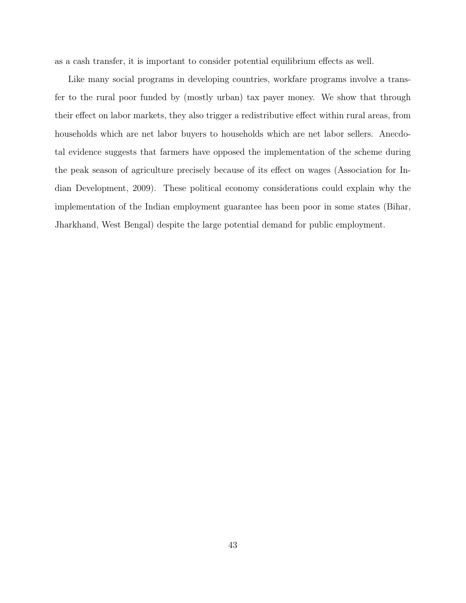as a cash transfer, it is important to consider potential equilibrium effects as well.

Like many social programs in developing countries, workfare programs involve a transfer to the rural poor funded by (mostly urban) tax payer money. We show that through their effect on labor markets, they also trigger a redistributive effect within rural areas, from households which are net labor buyers to households which are net labor sellers. Anecdotal evidence suggests that farmers have opposed the implementation of the scheme during the peak season of agriculture precisely because of its effect on wages (Association for Indian Development, 2009). These political economy considerations could explain why the implementation of the Indian employment guarantee has been poor in some states (Bihar, Jharkhand, West Bengal) despite the large potential demand for public employment.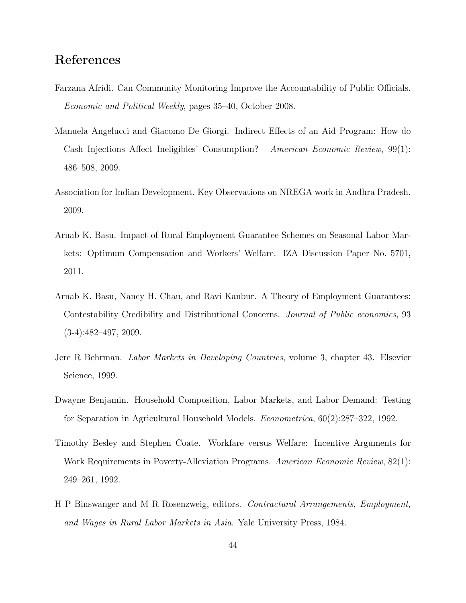# References

- Farzana Afridi. Can Community Monitoring Improve the Accountability of Public Officials. Economic and Political Weekly, pages 35–40, October 2008.
- Manuela Angelucci and Giacomo De Giorgi. Indirect Effects of an Aid Program: How do Cash Injections Affect Ineligibles' Consumption? American Economic Review, 99(1): 486–508, 2009.
- Association for Indian Development. Key Observations on NREGA work in Andhra Pradesh. 2009.
- Arnab K. Basu. Impact of Rural Employment Guarantee Schemes on Seasonal Labor Markets: Optimum Compensation and Workers' Welfare. IZA Discussion Paper No. 5701, 2011.
- Arnab K. Basu, Nancy H. Chau, and Ravi Kanbur. A Theory of Employment Guarantees: Contestability Credibility and Distributional Concerns. Journal of Public economics, 93  $(3-4):482-497, 2009.$
- Jere R Behrman. Labor Markets in Developing Countries, volume 3, chapter 43. Elsevier Science, 1999.
- Dwayne Benjamin. Household Composition, Labor Markets, and Labor Demand: Testing for Separation in Agricultural Household Models. Econometrica, 60(2):287–322, 1992.
- Timothy Besley and Stephen Coate. Workfare versus Welfare: Incentive Arguments for Work Requirements in Poverty-Alleviation Programs. American Economic Review, 82(1): 249–261, 1992.
- H P Binswanger and M R Rosenzweig, editors. Contractural Arrangements, Employment, and Wages in Rural Labor Markets in Asia. Yale University Press, 1984.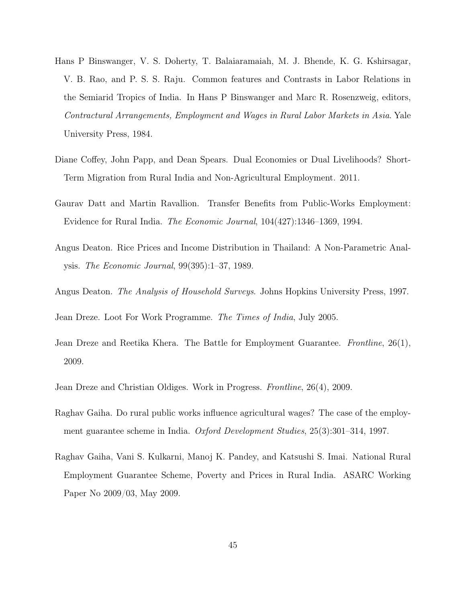- Hans P Binswanger, V. S. Doherty, T. Balaiaramaiah, M. J. Bhende, K. G. Kshirsagar, V. B. Rao, and P. S. S. Raju. Common features and Contrasts in Labor Relations in the Semiarid Tropics of India. In Hans P Binswanger and Marc R. Rosenzweig, editors, Contractural Arrangements, Employment and Wages in Rural Labor Markets in Asia. Yale University Press, 1984.
- Diane Coffey, John Papp, and Dean Spears. Dual Economies or Dual Livelihoods? Short-Term Migration from Rural India and Non-Agricultural Employment. 2011.
- Gaurav Datt and Martin Ravallion. Transfer Benefits from Public-Works Employment: Evidence for Rural India. The Economic Journal, 104(427):1346–1369, 1994.
- Angus Deaton. Rice Prices and Income Distribution in Thailand: A Non-Parametric Analysis. The Economic Journal, 99(395):1–37, 1989.
- Angus Deaton. The Analysis of Household Surveys. Johns Hopkins University Press, 1997.

Jean Dreze. Loot For Work Programme. The Times of India, July 2005.

- Jean Dreze and Reetika Khera. The Battle for Employment Guarantee. Frontline, 26(1), 2009.
- Jean Dreze and Christian Oldiges. Work in Progress. Frontline, 26(4), 2009.
- Raghav Gaiha. Do rural public works influence agricultural wages? The case of the employment guarantee scheme in India. Oxford Development Studies, 25(3):301–314, 1997.
- Raghav Gaiha, Vani S. Kulkarni, Manoj K. Pandey, and Katsushi S. Imai. National Rural Employment Guarantee Scheme, Poverty and Prices in Rural India. ASARC Working Paper No 2009/03, May 2009.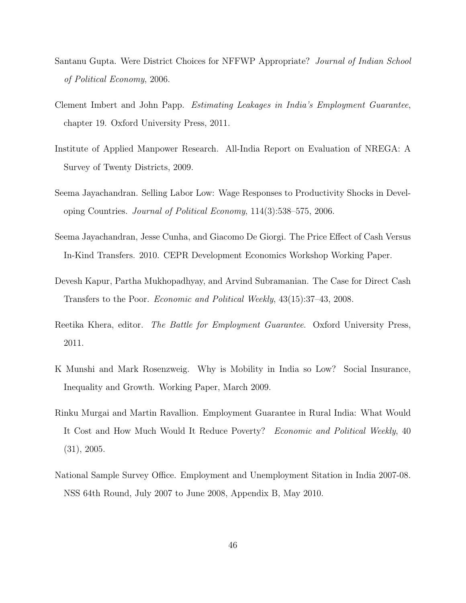- Santanu Gupta. Were District Choices for NFFWP Appropriate? Journal of Indian School of Political Economy, 2006.
- Clement Imbert and John Papp. Estimating Leakages in India's Employment Guarantee, chapter 19. Oxford University Press, 2011.
- Institute of Applied Manpower Research. All-India Report on Evaluation of NREGA: A Survey of Twenty Districts, 2009.
- Seema Jayachandran. Selling Labor Low: Wage Responses to Productivity Shocks in Developing Countries. Journal of Political Economy, 114(3):538–575, 2006.
- Seema Jayachandran, Jesse Cunha, and Giacomo De Giorgi. The Price Effect of Cash Versus In-Kind Transfers. 2010. CEPR Development Economics Workshop Working Paper.
- Devesh Kapur, Partha Mukhopadhyay, and Arvind Subramanian. The Case for Direct Cash Transfers to the Poor. Economic and Political Weekly, 43(15):37–43, 2008.
- Reetika Khera, editor. The Battle for Employment Guarantee. Oxford University Press, 2011.
- K Munshi and Mark Rosenzweig. Why is Mobility in India so Low? Social Insurance, Inequality and Growth. Working Paper, March 2009.
- Rinku Murgai and Martin Ravallion. Employment Guarantee in Rural India: What Would It Cost and How Much Would It Reduce Poverty? Economic and Political Weekly, 40 (31), 2005.
- National Sample Survey Office. Employment and Unemployment Sitation in India 2007-08. NSS 64th Round, July 2007 to June 2008, Appendix B, May 2010.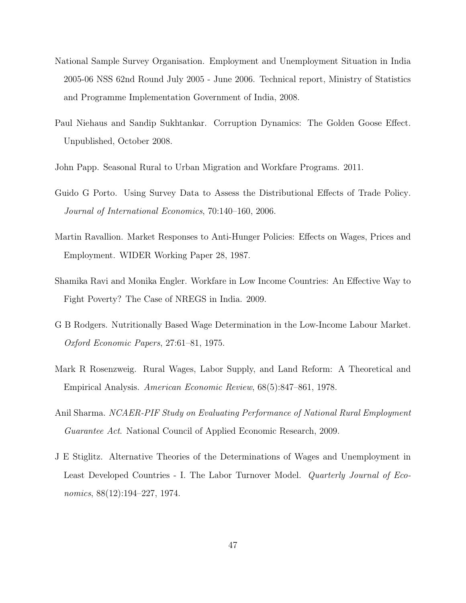- National Sample Survey Organisation. Employment and Unemployment Situation in India 2005-06 NSS 62nd Round July 2005 - June 2006. Technical report, Ministry of Statistics and Programme Implementation Government of India, 2008.
- Paul Niehaus and Sandip Sukhtankar. Corruption Dynamics: The Golden Goose Effect. Unpublished, October 2008.
- John Papp. Seasonal Rural to Urban Migration and Workfare Programs. 2011.
- Guido G Porto. Using Survey Data to Assess the Distributional Effects of Trade Policy. Journal of International Economics, 70:140–160, 2006.
- Martin Ravallion. Market Responses to Anti-Hunger Policies: Effects on Wages, Prices and Employment. WIDER Working Paper 28, 1987.
- Shamika Ravi and Monika Engler. Workfare in Low Income Countries: An Effective Way to Fight Poverty? The Case of NREGS in India. 2009.
- G B Rodgers. Nutritionally Based Wage Determination in the Low-Income Labour Market. Oxford Economic Papers, 27:61–81, 1975.
- Mark R Rosenzweig. Rural Wages, Labor Supply, and Land Reform: A Theoretical and Empirical Analysis. American Economic Review, 68(5):847–861, 1978.
- Anil Sharma. NCAER-PIF Study on Evaluating Performance of National Rural Employment Guarantee Act. National Council of Applied Economic Research, 2009.
- J E Stiglitz. Alternative Theories of the Determinations of Wages and Unemployment in Least Developed Countries - I. The Labor Turnover Model. *Quarterly Journal of Eco*nomics, 88(12):194–227, 1974.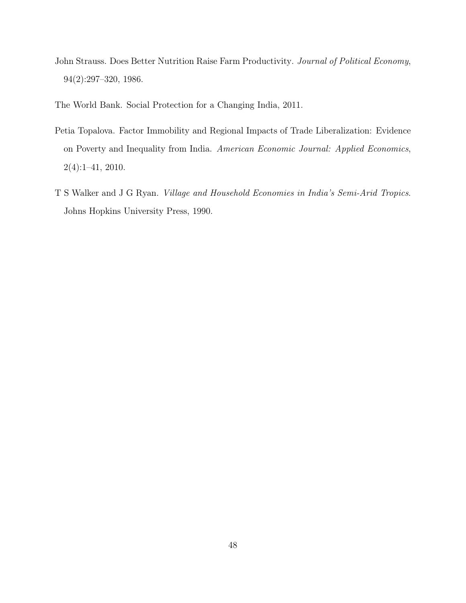John Strauss. Does Better Nutrition Raise Farm Productivity. Journal of Political Economy, 94(2):297–320, 1986.

The World Bank. Social Protection for a Changing India, 2011.

- Petia Topalova. Factor Immobility and Regional Impacts of Trade Liberalization: Evidence on Poverty and Inequality from India. American Economic Journal: Applied Economics, 2(4):1–41, 2010.
- T S Walker and J G Ryan. Village and Household Economies in India's Semi-Arid Tropics. Johns Hopkins University Press, 1990.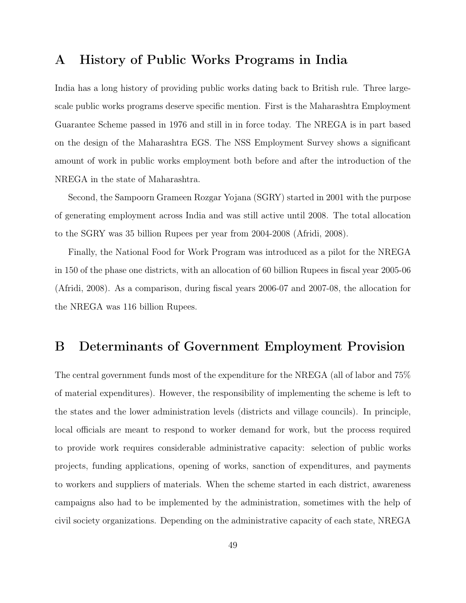# A History of Public Works Programs in India

India has a long history of providing public works dating back to British rule. Three largescale public works programs deserve specific mention. First is the Maharashtra Employment Guarantee Scheme passed in 1976 and still in in force today. The NREGA is in part based on the design of the Maharashtra EGS. The NSS Employment Survey shows a significant amount of work in public works employment both before and after the introduction of the NREGA in the state of Maharashtra.

Second, the Sampoorn Grameen Rozgar Yojana (SGRY) started in 2001 with the purpose of generating employment across India and was still active until 2008. The total allocation to the SGRY was 35 billion Rupees per year from 2004-2008 (Afridi, 2008).

Finally, the National Food for Work Program was introduced as a pilot for the NREGA in 150 of the phase one districts, with an allocation of 60 billion Rupees in fiscal year 2005-06 (Afridi, 2008). As a comparison, during fiscal years 2006-07 and 2007-08, the allocation for the NREGA was 116 billion Rupees.

# B Determinants of Government Employment Provision

The central government funds most of the expenditure for the NREGA (all of labor and 75% of material expenditures). However, the responsibility of implementing the scheme is left to the states and the lower administration levels (districts and village councils). In principle, local officials are meant to respond to worker demand for work, but the process required to provide work requires considerable administrative capacity: selection of public works projects, funding applications, opening of works, sanction of expenditures, and payments to workers and suppliers of materials. When the scheme started in each district, awareness campaigns also had to be implemented by the administration, sometimes with the help of civil society organizations. Depending on the administrative capacity of each state, NREGA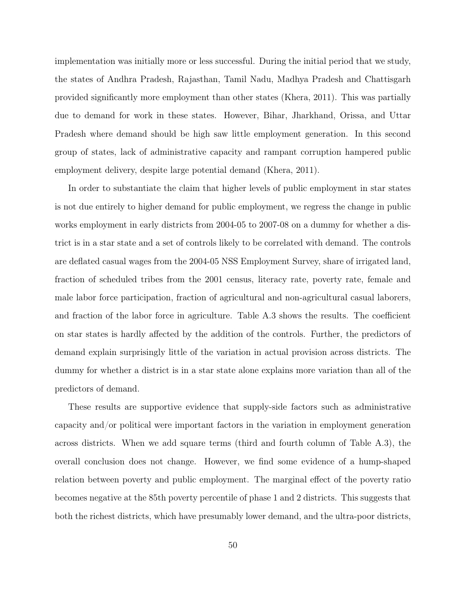implementation was initially more or less successful. During the initial period that we study, the states of Andhra Pradesh, Rajasthan, Tamil Nadu, Madhya Pradesh and Chattisgarh provided significantly more employment than other states (Khera, 2011). This was partially due to demand for work in these states. However, Bihar, Jharkhand, Orissa, and Uttar Pradesh where demand should be high saw little employment generation. In this second group of states, lack of administrative capacity and rampant corruption hampered public employment delivery, despite large potential demand (Khera, 2011).

In order to substantiate the claim that higher levels of public employment in star states is not due entirely to higher demand for public employment, we regress the change in public works employment in early districts from 2004-05 to 2007-08 on a dummy for whether a district is in a star state and a set of controls likely to be correlated with demand. The controls are deflated casual wages from the 2004-05 NSS Employment Survey, share of irrigated land, fraction of scheduled tribes from the 2001 census, literacy rate, poverty rate, female and male labor force participation, fraction of agricultural and non-agricultural casual laborers, and fraction of the labor force in agriculture. Table A.3 shows the results. The coefficient on star states is hardly affected by the addition of the controls. Further, the predictors of demand explain surprisingly little of the variation in actual provision across districts. The dummy for whether a district is in a star state alone explains more variation than all of the predictors of demand.

These results are supportive evidence that supply-side factors such as administrative capacity and/or political were important factors in the variation in employment generation across districts. When we add square terms (third and fourth column of Table A.3), the overall conclusion does not change. However, we find some evidence of a hump-shaped relation between poverty and public employment. The marginal effect of the poverty ratio becomes negative at the 85th poverty percentile of phase 1 and 2 districts. This suggests that both the richest districts, which have presumably lower demand, and the ultra-poor districts,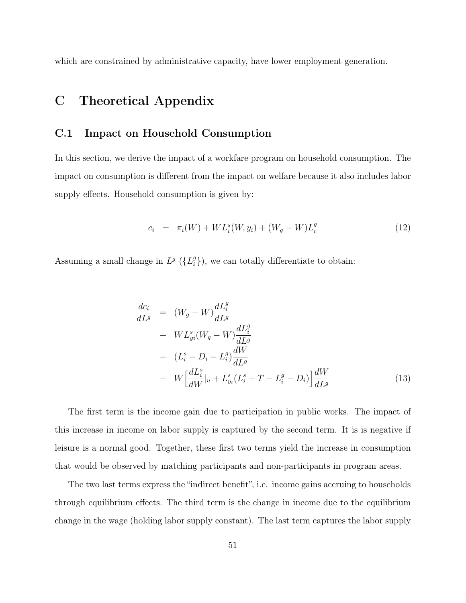which are constrained by administrative capacity, have lower employment generation.

# C Theoretical Appendix

# C.1 Impact on Household Consumption

In this section, we derive the impact of a workfare program on household consumption. The impact on consumption is different from the impact on welfare because it also includes labor supply effects. Household consumption is given by:

$$
c_i = \pi_i(W) + WL_i^s(W, y_i) + (W_g - W)L_i^g \tag{12}
$$

Assuming a small change in  $L^g$  ( $\{L_i^g\}$  $\binom{g}{i}$ , we can totally differentiate to obtain:

$$
\frac{dc_i}{dL^g} = (W_g - W) \frac{dL_i^g}{dL^g} \n+ WL_{yi}^s (W_g - W) \frac{dL_i^g}{dL^g} \n+ (L_i^s - D_i - L_i^g) \frac{dW}{dL^g} \n+ W \left[ \frac{dL_i^s}{dW} \Big|_{u} + L_{y_i}^s (L_i^s + T - L_i^g - D_i) \right] \frac{dW}{dL^g}
$$
\n(13)

The first term is the income gain due to participation in public works. The impact of this increase in income on labor supply is captured by the second term. It is is negative if leisure is a normal good. Together, these first two terms yield the increase in consumption that would be observed by matching participants and non-participants in program areas.

The two last terms express the "indirect benefit", i.e. income gains accruing to households through equilibrium effects. The third term is the change in income due to the equilibrium change in the wage (holding labor supply constant). The last term captures the labor supply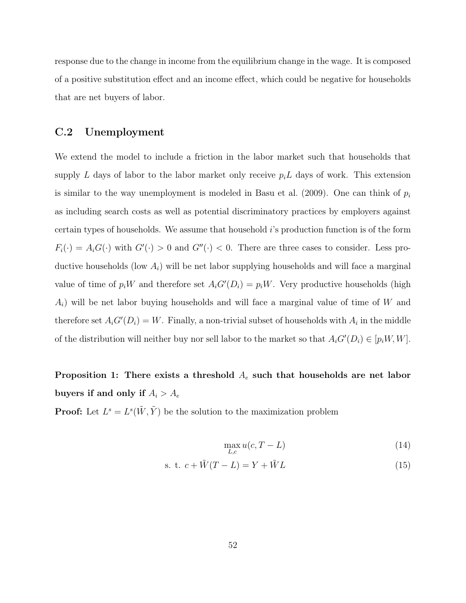response due to the change in income from the equilibrium change in the wage. It is composed of a positive substitution effect and an income effect, which could be negative for households that are net buyers of labor.

## C.2 Unemployment

We extend the model to include a friction in the labor market such that households that supply L days of labor to the labor market only receive  $p_i L$  days of work. This extension is similar to the way unemployment is modeled in Basu et al. (2009). One can think of  $p_i$ as including search costs as well as potential discriminatory practices by employers against certain types of households. We assume that household i's production function is of the form  $F_i(\cdot) = A_i G(\cdot)$  with  $G'(\cdot) > 0$  and  $G''(\cdot) < 0$ . There are three cases to consider. Less productive households (low  $A_i$ ) will be net labor supplying households and will face a marginal value of time of  $p_iW$  and therefore set  $A_iG'(D_i) = p_iW$ . Very productive households (high  $A_i$ ) will be net labor buying households and will face a marginal value of time of W and therefore set  $A_i G'(D_i) = W$ . Finally, a non-trivial subset of households with  $A_i$  in the middle of the distribution will neither buy nor sell labor to the market so that  $A_iG'(D_i) \in [p_iW, W]$ .

# Proposition 1: There exists a threshold  $A_e$  such that households are net labor buyers if and only if  $A_i > A_e$

**Proof:** Let  $L^s = L^s(\tilde{W}, \tilde{Y})$  be the solution to the maximization problem

$$
\max_{L,c} u(c, T - L) \tag{14}
$$

$$
s. t. c + \tilde{W}(T - L) = Y + \tilde{W}L
$$
\n
$$
(15)
$$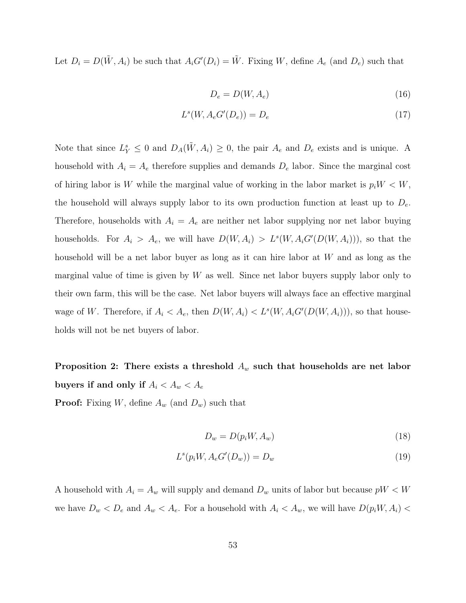Let  $D_i = D(\tilde{W}, A_i)$  be such that  $A_i G'(D_i) = \tilde{W}$ . Fixing W, define  $A_e$  (and  $D_e$ ) such that

$$
D_e = D(W, A_e) \tag{16}
$$

$$
L^s(W, A_e G'(D_e)) = D_e \tag{17}
$$

Note that since  $L_Y^s \leq 0$  and  $D_A(\tilde{W}, A_i) \geq 0$ , the pair  $A_e$  and  $D_e$  exists and is unique. A household with  $A_i = A_e$  therefore supplies and demands  $D_e$  labor. Since the marginal cost of hiring labor is W while the marginal value of working in the labor market is  $p_iW < W$ , the household will always supply labor to its own production function at least up to  $D_e$ . Therefore, households with  $A_i = A_e$  are neither net labor supplying nor net labor buying households. For  $A_i > A_e$ , we will have  $D(W, A_i) > L^s(W, A_i G'(D(W, A_i)))$ , so that the household will be a net labor buyer as long as it can hire labor at W and as long as the marginal value of time is given by  $W$  as well. Since net labor buyers supply labor only to their own farm, this will be the case. Net labor buyers will always face an effective marginal wage of W. Therefore, if  $A_i < A_e$ , then  $D(W, A_i) < L^s(W, A_i G'(D(W, A_i))),$  so that households will not be net buyers of labor.

Proposition 2: There exists a threshold  $A_w$  such that households are net labor buyers if and only if  $A_i < A_w < A_e$ **Proof:** Fixing W, define  $A_w$  (and  $D_w$ ) such that

$$
D_w = D(p_i W, A_w) \tag{18}
$$

$$
L^s(p_i W, A_e G'(D_w)) = D_w \tag{19}
$$

A household with  $A_i = A_w$  will supply and demand  $D_w$  units of labor but because  $pW < W$ we have  $D_w < D_e$  and  $A_w < A_e$ . For a household with  $A_i < A_w$ , we will have  $D(p_iW, A_i)$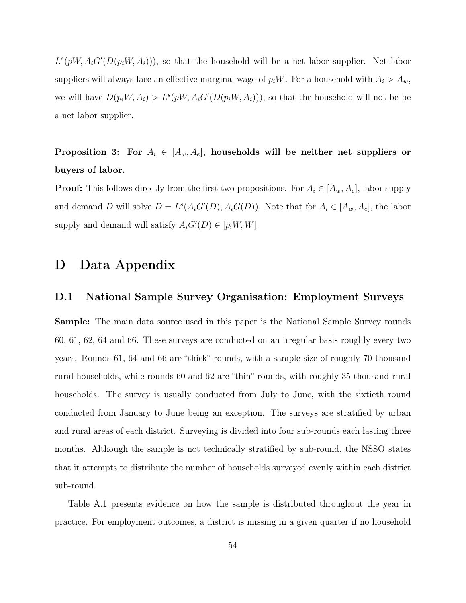$L^s(pW, A_iG'(D(p_iW, A_i)))$ , so that the household will be a net labor supplier. Net labor suppliers will always face an effective marginal wage of  $p_iW$ . For a household with  $A_i > A_w$ , we will have  $D(p_i W, A_i) > L^s(pW, A_i G'(D(p_i W, A_i))),$  so that the household will not be be a net labor supplier.

Proposition 3: For  $A_i \in [A_w, A_e]$ , households will be neither net suppliers or buyers of labor.

**Proof:** This follows directly from the first two propositions. For  $A_i \in [A_w, A_e]$ , labor supply and demand D will solve  $D = L^s(A_i G'(D), A_i G(D))$ . Note that for  $A_i \in [A_w, A_e]$ , the labor supply and demand will satisfy  $A_iG'(D) \in [p_iW, W]$ .

# D Data Appendix

## D.1 National Sample Survey Organisation: Employment Surveys

Sample: The main data source used in this paper is the National Sample Survey rounds 60, 61, 62, 64 and 66. These surveys are conducted on an irregular basis roughly every two years. Rounds 61, 64 and 66 are "thick" rounds, with a sample size of roughly 70 thousand rural households, while rounds 60 and 62 are "thin" rounds, with roughly 35 thousand rural households. The survey is usually conducted from July to June, with the sixtieth round conducted from January to June being an exception. The surveys are stratified by urban and rural areas of each district. Surveying is divided into four sub-rounds each lasting three months. Although the sample is not technically stratified by sub-round, the NSSO states that it attempts to distribute the number of households surveyed evenly within each district sub-round.

Table A.1 presents evidence on how the sample is distributed throughout the year in practice. For employment outcomes, a district is missing in a given quarter if no household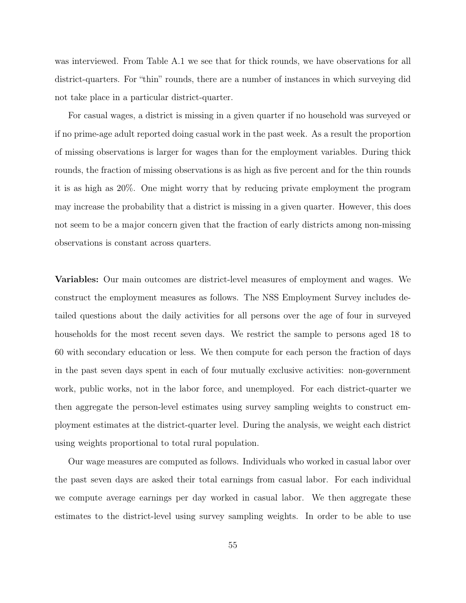was interviewed. From Table A.1 we see that for thick rounds, we have observations for all district-quarters. For "thin" rounds, there are a number of instances in which surveying did not take place in a particular district-quarter.

For casual wages, a district is missing in a given quarter if no household was surveyed or if no prime-age adult reported doing casual work in the past week. As a result the proportion of missing observations is larger for wages than for the employment variables. During thick rounds, the fraction of missing observations is as high as five percent and for the thin rounds it is as high as 20%. One might worry that by reducing private employment the program may increase the probability that a district is missing in a given quarter. However, this does not seem to be a major concern given that the fraction of early districts among non-missing observations is constant across quarters.

Variables: Our main outcomes are district-level measures of employment and wages. We construct the employment measures as follows. The NSS Employment Survey includes detailed questions about the daily activities for all persons over the age of four in surveyed households for the most recent seven days. We restrict the sample to persons aged 18 to 60 with secondary education or less. We then compute for each person the fraction of days in the past seven days spent in each of four mutually exclusive activities: non-government work, public works, not in the labor force, and unemployed. For each district-quarter we then aggregate the person-level estimates using survey sampling weights to construct employment estimates at the district-quarter level. During the analysis, we weight each district using weights proportional to total rural population.

Our wage measures are computed as follows. Individuals who worked in casual labor over the past seven days are asked their total earnings from casual labor. For each individual we compute average earnings per day worked in casual labor. We then aggregate these estimates to the district-level using survey sampling weights. In order to be able to use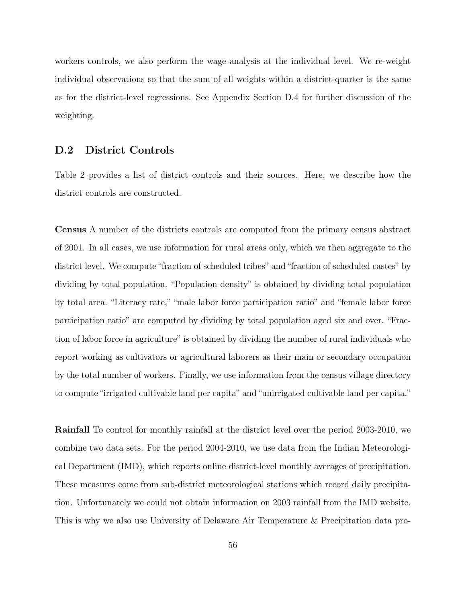workers controls, we also perform the wage analysis at the individual level. We re-weight individual observations so that the sum of all weights within a district-quarter is the same as for the district-level regressions. See Appendix Section D.4 for further discussion of the weighting.

## D.2 District Controls

Table 2 provides a list of district controls and their sources. Here, we describe how the district controls are constructed.

Census A number of the districts controls are computed from the primary census abstract of 2001. In all cases, we use information for rural areas only, which we then aggregate to the district level. We compute "fraction of scheduled tribes" and "fraction of scheduled castes" by dividing by total population. "Population density" is obtained by dividing total population by total area. "Literacy rate," "male labor force participation ratio" and "female labor force participation ratio" are computed by dividing by total population aged six and over. "Fraction of labor force in agriculture" is obtained by dividing the number of rural individuals who report working as cultivators or agricultural laborers as their main or secondary occupation by the total number of workers. Finally, we use information from the census village directory to compute "irrigated cultivable land per capita" and "unirrigated cultivable land per capita."

Rainfall To control for monthly rainfall at the district level over the period 2003-2010, we combine two data sets. For the period 2004-2010, we use data from the Indian Meteorological Department (IMD), which reports online district-level monthly averages of precipitation. These measures come from sub-district meteorological stations which record daily precipitation. Unfortunately we could not obtain information on 2003 rainfall from the IMD website. This is why we also use University of Delaware Air Temperature & Precipitation data pro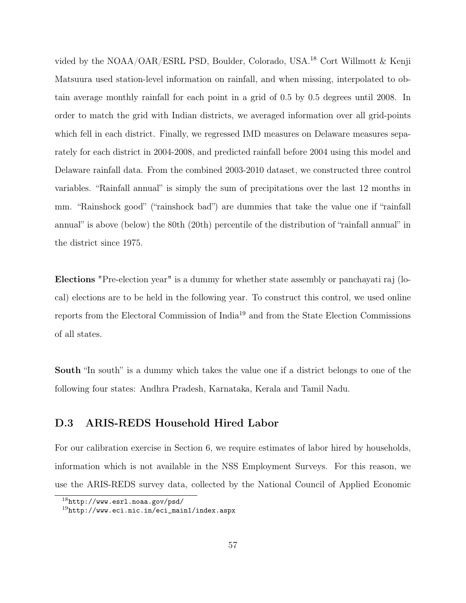vided by the NOAA/OAR/ESRL PSD, Boulder, Colorado, USA.<sup>18</sup> Cort Willmott & Kenji Matsuura used station-level information on rainfall, and when missing, interpolated to obtain average monthly rainfall for each point in a grid of 0.5 by 0.5 degrees until 2008. In order to match the grid with Indian districts, we averaged information over all grid-points which fell in each district. Finally, we regressed IMD measures on Delaware measures separately for each district in 2004-2008, and predicted rainfall before 2004 using this model and Delaware rainfall data. From the combined 2003-2010 dataset, we constructed three control variables. "Rainfall annual" is simply the sum of precipitations over the last 12 months in mm. "Rainshock good" ("rainshock bad") are dummies that take the value one if "rainfall annual" is above (below) the 80th (20th) percentile of the distribution of "rainfall annual" in the district since 1975.

Elections "Pre-election year" is a dummy for whether state assembly or panchayati raj (local) elections are to be held in the following year. To construct this control, we used online reports from the Electoral Commission of India<sup>19</sup> and from the State Election Commissions of all states.

South "In south" is a dummy which takes the value one if a district belongs to one of the following four states: Andhra Pradesh, Karnataka, Kerala and Tamil Nadu.

# D.3 ARIS-REDS Household Hired Labor

For our calibration exercise in Section 6, we require estimates of labor hired by households, information which is not available in the NSS Employment Surveys. For this reason, we use the ARIS-REDS survey data, collected by the National Council of Applied Economic

<sup>18</sup>http://www.esrl.noaa.gov/psd/

 $19$ http://www.eci.nic.in/eci\_main1/index.aspx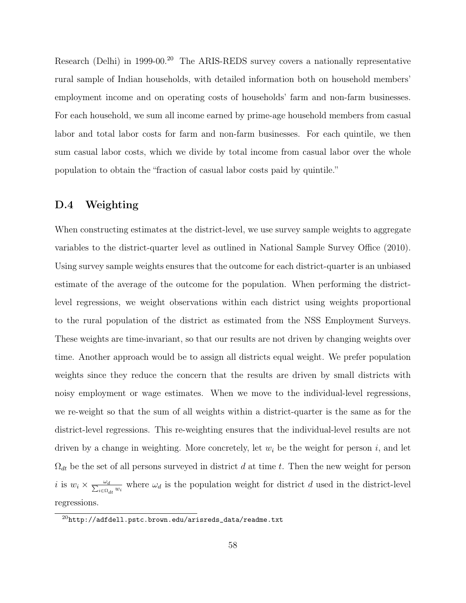Research (Delhi) in 1999-00.<sup>20</sup> The ARIS-REDS survey covers a nationally representative rural sample of Indian households, with detailed information both on household members' employment income and on operating costs of households' farm and non-farm businesses. For each household, we sum all income earned by prime-age household members from casual labor and total labor costs for farm and non-farm businesses. For each quintile, we then sum casual labor costs, which we divide by total income from casual labor over the whole population to obtain the "fraction of casual labor costs paid by quintile."

# D.4 Weighting

When constructing estimates at the district-level, we use survey sample weights to aggregate variables to the district-quarter level as outlined in National Sample Survey Office (2010). Using survey sample weights ensures that the outcome for each district-quarter is an unbiased estimate of the average of the outcome for the population. When performing the districtlevel regressions, we weight observations within each district using weights proportional to the rural population of the district as estimated from the NSS Employment Surveys. These weights are time-invariant, so that our results are not driven by changing weights over time. Another approach would be to assign all districts equal weight. We prefer population weights since they reduce the concern that the results are driven by small districts with noisy employment or wage estimates. When we move to the individual-level regressions, we re-weight so that the sum of all weights within a district-quarter is the same as for the district-level regressions. This re-weighting ensures that the individual-level results are not driven by a change in weighting. More concretely, let  $w_i$  be the weight for person i, and let  $\Omega_{dt}$  be the set of all persons surveyed in district d at time t. Then the new weight for person i is  $w_i \times \frac{\omega_d}{\sum_{i \in \Omega_{dt}} w_i}$  where  $\omega_d$  is the population weight for district d used in the district-level regressions.

 $^{20}$ http://adfdell.pstc.brown.edu/arisreds\_data/readme.txt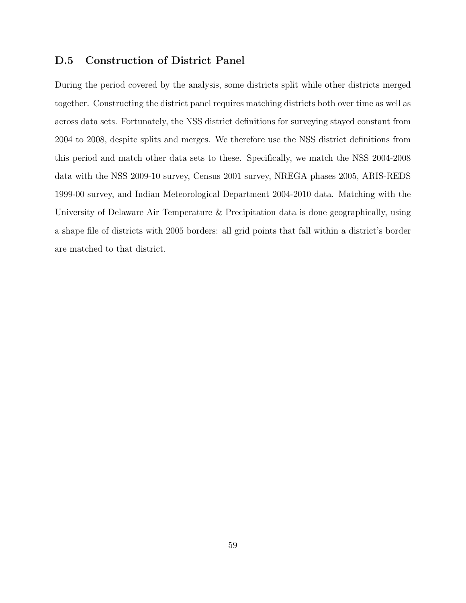# D.5 Construction of District Panel

During the period covered by the analysis, some districts split while other districts merged together. Constructing the district panel requires matching districts both over time as well as across data sets. Fortunately, the NSS district definitions for surveying stayed constant from 2004 to 2008, despite splits and merges. We therefore use the NSS district definitions from this period and match other data sets to these. Specifically, we match the NSS 2004-2008 data with the NSS 2009-10 survey, Census 2001 survey, NREGA phases 2005, ARIS-REDS 1999-00 survey, and Indian Meteorological Department 2004-2010 data. Matching with the University of Delaware Air Temperature & Precipitation data is done geographically, using a shape file of districts with 2005 borders: all grid points that fall within a district's border are matched to that district.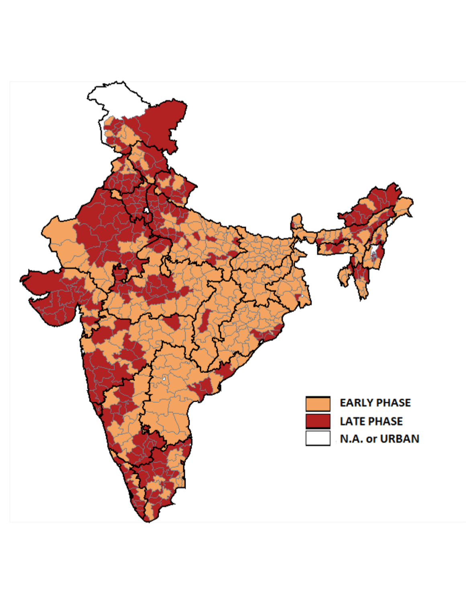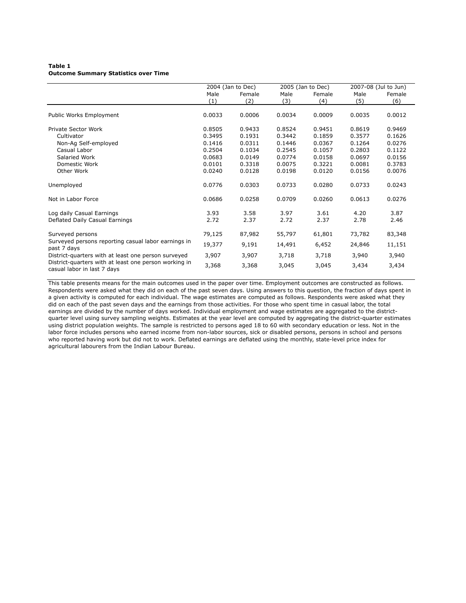#### **Table 1 Outcome Summary Statistics over Time**

|                                                                                      |        | 2004 (Jan to Dec) |        | 2005 (Jan to Dec) | 2007-08 (Jul to Jun) |        |
|--------------------------------------------------------------------------------------|--------|-------------------|--------|-------------------|----------------------|--------|
|                                                                                      | Male   | Female            | Male   | Female            | Male                 | Female |
|                                                                                      | (1)    | (2)               | (3)    | (4)               | (5)                  | (6)    |
|                                                                                      |        |                   |        |                   |                      |        |
| Public Works Employment                                                              | 0.0033 | 0.0006            | 0.0034 | 0.0009            | 0.0035               | 0.0012 |
| Private Sector Work                                                                  | 0.8505 | 0.9433            | 0.8524 | 0.9451            | 0.8619               | 0.9469 |
| Cultivator                                                                           | 0.3495 | 0.1931            | 0.3442 | 0.1859            | 0.3577               | 0.1626 |
| Non-Ag Self-employed                                                                 | 0.1416 | 0.0311            | 0.1446 | 0.0367            | 0.1264               | 0.0276 |
| Casual Labor                                                                         | 0.2504 | 0.1034            | 0.2545 | 0.1057            | 0.2803               | 0.1122 |
| Salaried Work                                                                        | 0.0683 | 0.0149            | 0.0774 | 0.0158            | 0.0697               | 0.0156 |
| Domestic Work                                                                        | 0.0101 | 0.3318            | 0.0075 | 0.3221            | 0.0081               | 0.3783 |
| Other Work                                                                           | 0.0240 | 0.0128            | 0.0198 | 0.0120            | 0.0156               | 0.0076 |
| Unemployed                                                                           | 0.0776 | 0.0303            | 0.0733 | 0.0280            | 0.0733               | 0.0243 |
| Not in Labor Force                                                                   | 0.0686 | 0.0258            | 0.0709 | 0.0260            | 0.0613               | 0.0276 |
| Log daily Casual Earnings                                                            | 3.93   | 3.58              | 3.97   | 3.61              | 4.20                 | 3.87   |
| Deflated Daily Casual Earnings                                                       | 2.72   | 2.37              | 2.72   | 2.37              | 2.78                 | 2.46   |
| Surveyed persons                                                                     | 79,125 | 87,982            | 55,797 | 61,801            | 73,782               | 83,348 |
| Surveyed persons reporting casual labor earnings in<br>past 7 days                   | 19,377 | 9,191             | 14,491 | 6,452             | 24,846               | 11,151 |
| District-quarters with at least one person surveyed                                  | 3,907  | 3,907             | 3,718  | 3,718             | 3,940                | 3,940  |
| District-quarters with at least one person working in<br>casual labor in last 7 days | 3,368  | 3,368             | 3,045  | 3,045             | 3,434                | 3,434  |

This table presents means for the main outcomes used in the paper over time. Employment outcomes are constructed as follows. Respondents were asked what they did on each of the past seven days. Using answers to this question, the fraction of days spent in a given activity is computed for each individual. The wage estimates are computed as follows. Respondents were asked what they did on each of the past seven days and the earnings from those activities. For those who spent time in casual labor, the total earnings are divided by the number of days worked. Individual employment and wage estimates are aggregated to the districtquarter level using survey sampling weights. Estimates at the year level are computed by aggregating the district-quarter estimates using district population weights. The sample is restricted to persons aged 18 to 60 with secondary education or less. Not in the labor force includes persons who earned income from non-labor sources, sick or disabled persons, persons in school and persons who reported having work but did not to work. Deflated earnings are deflated using the monthly, state-level price index for agricultural labourers from the Indian Labour Bureau.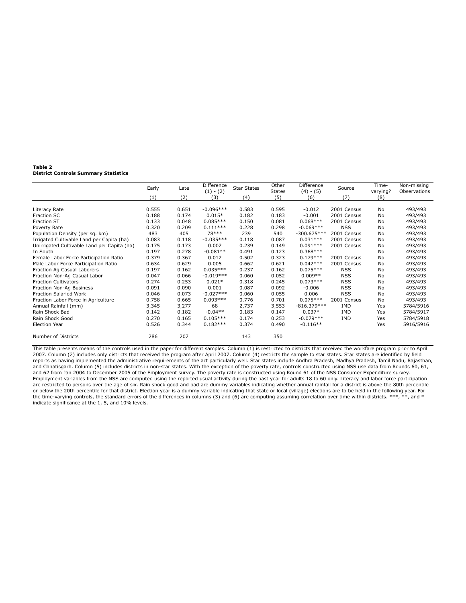#### **Table 2 District Controls Summary Statistics**

|                                             | Early | Late  | Difference  | <b>Star States</b> | Other         | Difference    | Source      | Time-    | Non-missing  |
|---------------------------------------------|-------|-------|-------------|--------------------|---------------|---------------|-------------|----------|--------------|
|                                             |       |       | $(1) - (2)$ |                    | <b>States</b> | $(4) - (5)$   |             | varying? | Observations |
|                                             | (1)   | (2)   | (3)         | (4)                | (5)           | (6)           | (7)         | (8)      |              |
|                                             |       |       |             |                    |               |               |             |          |              |
| Literacy Rate                               | 0.555 | 0.651 | $-0.096***$ | 0.583              | 0.595         | $-0.012$      | 2001 Census | No       | 493/493      |
| Fraction SC                                 | 0.188 | 0.174 | $0.015*$    | 0.182              | 0.183         | $-0.001$      | 2001 Census | No       | 493/493      |
| Fraction ST                                 | 0.133 | 0.048 | $0.085***$  | 0.150              | 0.081         | $0.068***$    | 2001 Census | No       | 493/493      |
| Poverty Rate                                | 0.320 | 0.209 | $0.111***$  | 0.228              | 0.298         | $-0.069***$   | <b>NSS</b>  | No       | 493/493      |
| Population Density (per sq. km)             | 483   | 405   | $78***$     | 239                | 540           | $-300.675***$ | 2001 Census | No       | 493/493      |
| Irrigated Cultivable Land per Capita (ha)   | 0.083 | 0.118 | $-0.035***$ | 0.118              | 0.087         | $0.031***$    | 2001 Census | No       | 493/493      |
| Unirrigated Cultivable Land per Capita (ha) | 0.175 | 0.173 | 0.002       | 0.239              | 0.149         | $0.091***$    | 2001 Census | No       | 493/493      |
| In South                                    | 0.197 | 0.278 | $-0.081**$  | 0.491              | 0.123         | $0.368***$    |             | No       | 493/493      |
| Female Labor Force Participation Ratio      | 0.379 | 0.367 | 0.012       | 0.502              | 0.323         | $0.179***$    | 2001 Census | No       | 493/493      |
| Male Labor Force Participation Ratio        | 0.634 | 0.629 | 0.005       | 0.662              | 0.621         | $0.042***$    | 2001 Census | No       | 493/493      |
| Fraction Ag Casual Laborers                 | 0.197 | 0.162 | $0.035***$  | 0.237              | 0.162         | $0.075***$    | <b>NSS</b>  | No       | 493/493      |
| Fraction Non-Ag Casual Labor                | 0.047 | 0.066 | $-0.019***$ | 0.060              | 0.052         | $0.009**$     | <b>NSS</b>  | No       | 493/493      |
| <b>Fraction Cultivators</b>                 | 0.274 | 0.253 | $0.021*$    | 0.318              | 0.245         | $0.073***$    | <b>NSS</b>  | No       | 493/493      |
| Fraction Non-Ag Business                    | 0.091 | 0.090 | 0.001       | 0.087              | 0.092         | $-0.006$      | <b>NSS</b>  | No       | 493/493      |
| <b>Fraction Salaried Work</b>               | 0.046 | 0.073 | $-0.027***$ | 0.060              | 0.055         | 0.006         | <b>NSS</b>  | No       | 493/493      |
| Fraction Labor Force in Agriculture         | 0.758 | 0.665 | $0.093***$  | 0.776              | 0.701         | $0.075***$    | 2001 Census | No       | 493/493      |
| Annual Rainfall (mm)                        | 3,345 | 3,277 | 68          | 2,737              | 3,553         | $-816.379***$ | IMD         | Yes      | 5784/5916    |
| Rain Shock Bad                              | 0.142 | 0.182 | $-0.04**$   | 0.183              | 0.147         | $0.037*$      | <b>IMD</b>  | Yes      | 5784/5917    |
| Rain Shock Good                             | 0.270 | 0.165 | $0.105***$  | 0.174              | 0.253         | $-0.079***$   | <b>IMD</b>  | Yes      | 5784/5918    |
| <b>Election Year</b>                        | 0.526 | 0.344 | $0.182***$  | 0.374              | 0.490         | $-0.116**$    |             | Yes      | 5916/5916    |
| Number of Districts                         | 286   | 207   |             | 143                | 350           |               |             |          |              |

This table presents means of the controls used in the paper for different samples. Column (1) is restricted to districts that received the workfare program prior to April 2007. Column (2) includes only districts that received the program after April 2007. Column (4) restricts the sample to star states. Star states are identified by field<br>reports as having implemented the administrative requ and Chhatisgarh. Column (5) includes districts in non-star states. With the exception of the poverty rate, controls constructed using NSS use data from Rounds 60, 61, and 62 from Jan 2004 to December 2005 of the Employment indicate significance at the 1, 5, and 10% levels.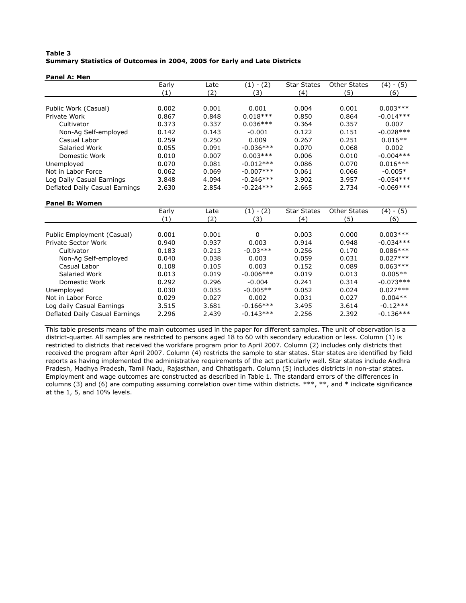### **Table 3 Summary Statistics of Outcomes in 2004, 2005 for Early and Late Districts**

#### **Panel A: Men**

|                                | Early | Late  | $-(2)$<br>$\left(1\right)$ | <b>Star States</b> | <b>Other States</b> | (4) - (5)   |
|--------------------------------|-------|-------|----------------------------|--------------------|---------------------|-------------|
|                                | (1)   | (2)   | (3)                        | (4)                | (5)                 | (6)         |
|                                |       |       |                            |                    |                     |             |
| Public Work (Casual)           | 0.002 | 0.001 | 0.001                      | 0.004              | 0.001               | $0.003***$  |
| Private Work                   | 0.867 | 0.848 | $0.018***$                 | 0.850              | 0.864               | $-0.014***$ |
| Cultivator                     | 0.373 | 0.337 | $0.036***$                 | 0.364              | 0.357               | 0.007       |
| Non-Ag Self-employed           | 0.142 | 0.143 | $-0.001$                   | 0.122              | 0.151               | $-0.028***$ |
| Casual Labor                   | 0.259 | 0.250 | 0.009                      | 0.267              | 0.251               | $0.016**$   |
| Salaried Work                  | 0.055 | 0.091 | $-0.036***$                | 0.070              | 0.068               | 0.002       |
| Domestic Work                  | 0.010 | 0.007 | $0.003***$                 | 0.006              | 0.010               | $-0.004***$ |
| Unemployed                     | 0.070 | 0.081 | $-0.012***$                | 0.086              | 0.070               | $0.016***$  |
| Not in Labor Force             | 0.062 | 0.069 | $-0.007***$                | 0.061              | 0.066               | $-0.005*$   |
| Log Daily Casual Earnings      | 3.848 | 4.094 | $-0.246***$                | 3.902              | 3.957               | $-0.054***$ |
| Deflated Daily Casual Earnings | 2.630 | 2.854 | $-0.224***$                | 2.665              | 2.734               | $-0.069***$ |

### **Panel B: Women**

|                                | Early | Late  | $- (2)$<br>(1) | <b>Star States</b> | <b>Other States</b> | $- (5)$<br>(4) |
|--------------------------------|-------|-------|----------------|--------------------|---------------------|----------------|
|                                | (1)   | (2)   | 3)             | (4)                | (5)                 | (6)            |
|                                |       |       |                |                    |                     |                |
| Public Employment (Casual)     | 0.001 | 0.001 | 0              | 0.003              | 0.000               | $0.003***$     |
| Private Sector Work            | 0.940 | 0.937 | 0.003          | 0.914              | 0.948               | $-0.034***$    |
| Cultivator                     | 0.183 | 0.213 | $-0.03***$     | 0.256              | 0.170               | $0.086***$     |
| Non-Ag Self-employed           | 0.040 | 0.038 | 0.003          | 0.059              | 0.031               | $0.027***$     |
| Casual Labor                   | 0.108 | 0.105 | 0.003          | 0.152              | 0.089               | $0.063***$     |
| Salaried Work                  | 0.013 | 0.019 | $-0.006$ ***   | 0.019              | 0.013               | $0.005**$      |
| Domestic Work                  | 0.292 | 0.296 | $-0.004$       | 0.241              | 0.314               | $-0.073***$    |
| Unemployed                     | 0.030 | 0.035 | $-0.005**$     | 0.052              | 0.024               | $0.027***$     |
| Not in Labor Force             | 0.029 | 0.027 | 0.002          | 0.031              | 0.027               | $0.004**$      |
| Log daily Casual Earnings      | 3.515 | 3.681 | $-0.166***$    | 3.495              | 3.614               | $-0.12***$     |
| Deflated Daily Casual Earnings | 2.296 | 2.439 | $-0.143***$    | 2.256              | 2.392               | $-0.136***$    |

This table presents means of the main outcomes used in the paper for different samples. The unit of observation is a district-quarter. All samples are restricted to persons aged 18 to 60 with secondary education or less. Column (1) is restricted to districts that received the workfare program prior to April 2007. Column (2) includes only districts that received the program after April 2007. Column (4) restricts the sample to star states. Star states are identified by field reports as having implemented the administrative requirements of the act particularly well. Star states include Andhra Pradesh, Madhya Pradesh, Tamil Nadu, Rajasthan, and Chhatisgarh. Column (5) includes districts in non-star states. Employment and wage outcomes are constructed as described in Table 1. The standard errors of the differences in columns (3) and (6) are computing assuming correlation over time within districts.  $***$ ,  $***$ , and  $*$  indicate significance at the 1, 5, and 10% levels.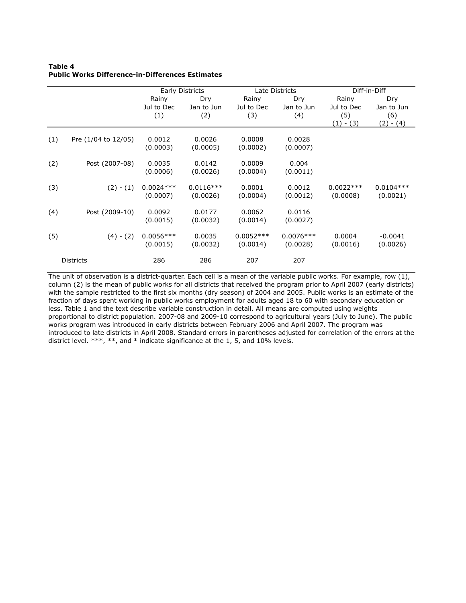### **Public Works Difference-in-Differences Estimates Table 4**

|     |                     |                            | Early Districts          |                            | Late Districts                  |                                         | Diff-in-Diff                               |
|-----|---------------------|----------------------------|--------------------------|----------------------------|---------------------------------|-----------------------------------------|--------------------------------------------|
|     |                     | Rainy<br>Jul to Dec<br>(1) | Dry<br>Jan to Jun<br>(2) | Rainy<br>Jul to Dec<br>(3) | <b>Dry</b><br>Jan to Jun<br>(4) | Rainy<br>Jul to Dec<br>(5)<br>(1) - (3) | Dry<br>Jan to Jun<br>(6)<br>(2)<br>$- (4)$ |
| (1) | Pre (1/04 to 12/05) | 0.0012<br>(0.0003)         | 0.0026<br>(0.0005)       | 0.0008<br>(0.0002)         | 0.0028<br>(0.0007)              |                                         |                                            |
| (2) | Post (2007-08)      | 0.0035<br>(0.0006)         | 0.0142<br>(0.0026)       | 0.0009<br>(0.0004)         | 0.004<br>(0.0011)               |                                         |                                            |
| (3) | $(2) - (1)$         | $0.0024***$<br>(0.0007)    | $0.0116***$<br>(0.0026)  | 0.0001<br>(0.0004)         | 0.0012<br>(0.0012)              | $0.0022***$<br>(0.0008)                 | $0.0104***$<br>(0.0021)                    |
| (4) | Post (2009-10)      | 0.0092<br>(0.0015)         | 0.0177<br>(0.0032)       | 0.0062<br>(0.0014)         | 0.0116<br>(0.0027)              |                                         |                                            |
| (5) | $(4) - (2)$         | $0.0056***$<br>(0.0015)    | 0.0035<br>(0.0032)       | $0.0052***$<br>(0.0014)    | $0.0076***$<br>(0.0028)         | 0.0004<br>(0.0016)                      | $-0.0041$<br>(0.0026)                      |
|     | <b>Districts</b>    | 286                        | 286                      | 207                        | 207                             |                                         |                                            |

The unit of observation is a district-quarter. Each cell is a mean of the variable public works. For example, row (1), column (2) is the mean of public works for all districts that received the program prior to April 2007 (early districts) with the sample restricted to the first six months (dry season) of 2004 and 2005. Public works is an estimate of the fraction of days spent working in public works employment for adults aged 18 to 60 with secondary education or less. Table 1 and the text describe variable construction in detail. All means are computed using weights proportional to district population. 2007-08 and 2009-10 correspond to agricultural years (July to June). The public works program was introduced in early districts between February 2006 and April 2007. The program was introduced to late districts in April 2008. Standard errors in parentheses adjusted for correlation of the errors at the district level. \*\*\*, \*\*, and \* indicate significance at the 1, 5, and 10% levels.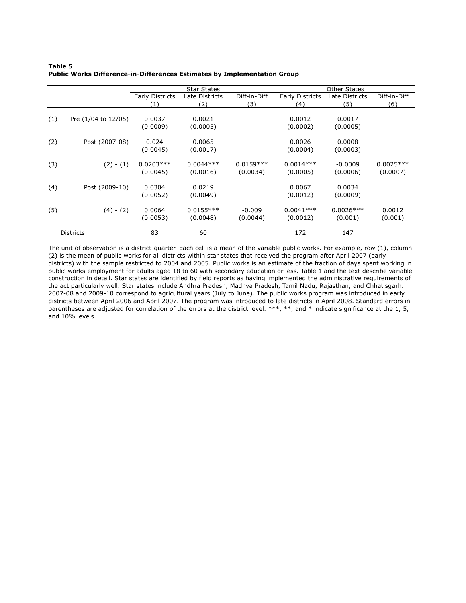### **Table 5 Public Works Difference-in-Differences Estimates by Implementation Group**

|     |                     |                         | <b>Star States</b>      |                         |                         | <b>Other States</b>    |                         |
|-----|---------------------|-------------------------|-------------------------|-------------------------|-------------------------|------------------------|-------------------------|
|     |                     | Early Districts<br>′1)  | Late Districts<br>(2)   | Diff-in-Diff<br>(3)     | Early Districts<br>(4)  | Late Districts<br>(5)  | Diff-in-Diff<br>(6)     |
| (1) | Pre (1/04 to 12/05) | 0.0037<br>(0.0009)      | 0.0021<br>(0.0005)      |                         | 0.0012<br>(0.0002)      | 0.0017<br>(0.0005)     |                         |
| (2) | Post (2007-08)      | 0.024<br>(0.0045)       | 0.0065<br>(0.0017)      |                         | 0.0026<br>(0.0004)      | 0.0008<br>(0.0003)     |                         |
| (3) | $(2) - (1)$         | $0.0203***$<br>(0.0045) | $0.0044***$<br>(0.0016) | $0.0159***$<br>(0.0034) | $0.0014***$<br>(0.0005) | $-0.0009$<br>(0.0006)  | $0.0025***$<br>(0.0007) |
| (4) | Post (2009-10)      | 0.0304<br>(0.0052)      | 0.0219<br>(0.0049)      |                         | 0.0067<br>(0.0012)      | 0.0034<br>(0.0009)     |                         |
| (5) | $(4) - (2)$         | 0.0064<br>(0.0053)      | $0.0155***$<br>(0.0048) | $-0.009$<br>(0.0044)    | $0.0041***$<br>(0.0012) | $0.0026***$<br>(0.001) | 0.0012<br>(0.001)       |
|     | <b>Districts</b>    | 83                      | 60                      |                         | 172                     | 147                    |                         |

The unit of observation is a district-quarter. Each cell is a mean of the variable public works. For example, row (1), column (2) is the mean of public works for all districts within star states that received the program after April 2007 (early districts) with the sample restricted to 2004 and 2005. Public works is an estimate of the fraction of days spent working in public works employment for adults aged 18 to 60 with secondary education or less. Table 1 and the text describe variable construction in detail. Star states are identified by field reports as having implemented the administrative requirements of the act particularly well. Star states include Andhra Pradesh, Madhya Pradesh, Tamil Nadu, Rajasthan, and Chhatisgarh. 2007-08 and 2009-10 correspond to agricultural years (July to June). The public works program was introduced in early districts between April 2006 and April 2007. The program was introduced to late districts in April 2008. Standard errors in parentheses are adjusted for correlation of the errors at the district level. \*\*\*, \*\*, and \* indicate significance at the 1, 5, and 10% levels.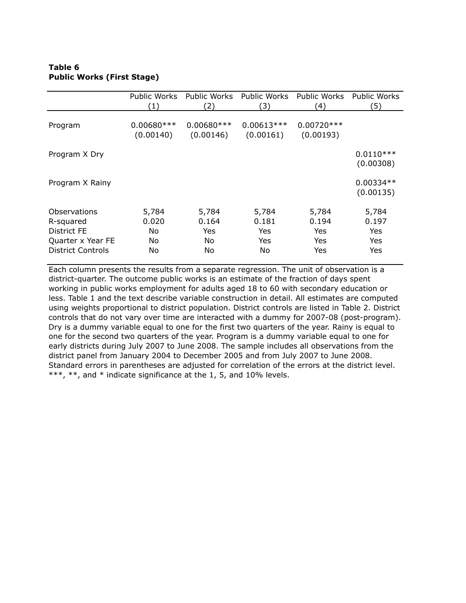## **Table 6 Public Works (First Stage)**

|                                                                                           | Public Works<br>(1)                 | Public Works<br>(2)                | Public Works<br>3)                 | <b>Public Works</b><br>4)           | Public Works<br>(5)                 |
|-------------------------------------------------------------------------------------------|-------------------------------------|------------------------------------|------------------------------------|-------------------------------------|-------------------------------------|
| Program                                                                                   | $0.00680***$<br>(0.00140)           | $0.00680***$<br>(0.00146)          | $0.00613***$<br>(0.00161)          | $0.00720***$<br>(0.00193)           |                                     |
| Program X Dry                                                                             |                                     |                                    |                                    |                                     | $0.0110***$<br>(0.00308)            |
| Program X Rainy                                                                           |                                     |                                    |                                    |                                     | $0.00334**$<br>(0.00135)            |
| Observations<br>R-squared<br>District FE<br>Quarter x Year FE<br><b>District Controls</b> | 5,784<br>0.020<br>No.<br>No.<br>No. | 5,784<br>0.164<br>Yes.<br>No<br>No | 5,784<br>0.181<br>Yes<br>Yes<br>No | 5,784<br>0.194<br>Yes<br>Yes<br>Yes | 5,784<br>0.197<br>Yes<br>Yes<br>Yes |

Each column presents the results from a separate regression. The unit of observation is a district-quarter. The outcome public works is an estimate of the fraction of days spent working in public works employment for adults aged 18 to 60 with secondary education or less. Table 1 and the text describe variable construction in detail. All estimates are computed using weights proportional to district population. District controls are listed in Table 2. District controls that do not vary over time are interacted with a dummy for 2007-08 (post-program). Dry is a dummy variable equal to one for the first two quarters of the year. Rainy is equal to one for the second two quarters of the year. Program is a dummy variable equal to one for early districts during July 2007 to June 2008. The sample includes all observations from the district panel from January 2004 to December 2005 and from July 2007 to June 2008. Standard errors in parentheses are adjusted for correlation of the errors at the district level. \*\*\*, \*\*, and \* indicate significance at the 1, 5, and 10% levels.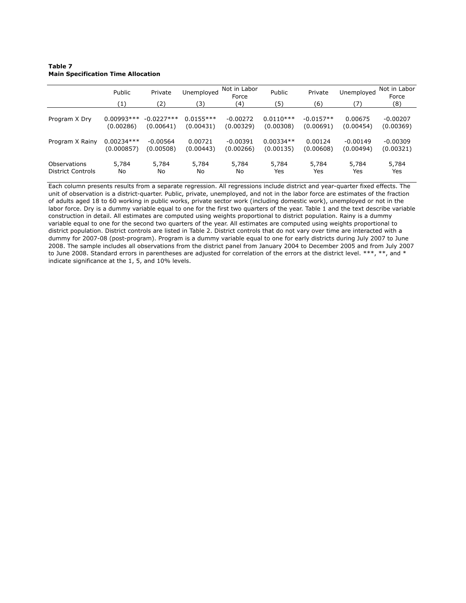### **Table 7 Main Specification Time Allocation**

|                   | Public<br>(1) | Private<br>(2) | Unemployed<br>(3 | Not in Labor<br>Force<br>(4) | Public<br>(5) | Private<br>(6) | Unemployed<br>7) | Not in Labor<br>Force<br>(8) |
|-------------------|---------------|----------------|------------------|------------------------------|---------------|----------------|------------------|------------------------------|
| Program X Dry     | $0.00993***$  | $-0.0227***$   | $0.0155***$      | $-0.00272$                   | $0.0110***$   | $-0.0157**$    | 0.00675          | $-0.00207$                   |
|                   | (0.00286)     | (0.00641)      | (0.00431)        | (0.00329)                    | (0.00308)     | (0.00691)      | (0.00454)        | (0.00369)                    |
| Program X Rainy   | $0.00234***$  | $-0.00564$     | 0.00721          | $-0.00391$                   | $0.00334**$   | 0.00124        | $-0.00149$       | $-0.00309$                   |
|                   | (0.000857)    | (0.00508)      | (0.00443)        | (0.00266)                    | (0.00135)     | (0.00608)      | (0.00494)        | (0.00321)                    |
| Observations      | 5,784         | 5,784          | 5,784            | 5,784                        | 5,784         | 5,784          | 5,784            | 5,784                        |
| District Controls | No            | No             | No               | No                           | Yes           | Yes            | Yes              | Yes                          |

Each column presents results from a separate regression. All regressions include district and year-quarter fixed effects. The unit of observation is a district-quarter. Public, private, unemployed, and not in the labor force are estimates of the fraction of adults aged 18 to 60 working in public works, private sector work (including domestic work), unemployed or not in the labor force. Dry is a dummy variable equal to one for the first two quarters of the year. Table 1 and the text describe variable construction in detail. All estimates are computed using weights proportional to district population. Rainy is a dummy variable equal to one for the second two quarters of the year. All estimates are computed using weights proportional to district population. District controls are listed in Table 2. District controls that do not vary over time are interacted with a dummy for 2007-08 (post-program). Program is a dummy variable equal to one for early districts during July 2007 to June 2008. The sample includes all observations from the district panel from January 2004 to December 2005 and from July 2007 to June 2008. Standard errors in parentheses are adjusted for correlation of the errors at the district level. \*\*\*, \*\*, and \* indicate significance at the 1, 5, and 10% levels.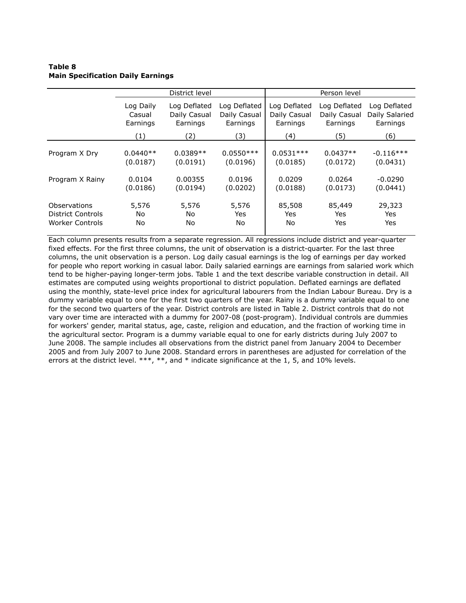### **Table 8 Main Specification Daily Earnings**

|                          |                                                                                                                         | District level |                                          |                                          | Person level |             |
|--------------------------|-------------------------------------------------------------------------------------------------------------------------|----------------|------------------------------------------|------------------------------------------|--------------|-------------|
|                          | Log Daily<br>Log Deflated<br>Log Deflated<br>Daily Casual<br>Daily Casual<br>Casual<br>Earnings<br>Earnings<br>Earnings |                | Log Deflated<br>Daily Casual<br>Earnings | Log Deflated<br>Daily Casual<br>Earnings |              |             |
|                          | (1)                                                                                                                     | (2)            | (3)                                      | (4)                                      | (5)          | (6)         |
| Program X Dry            | $0.0440**$                                                                                                              | $0.0389**$     | $0.0550***$                              | $0.0531***$                              | $0.0437**$   | $-0.116***$ |
|                          | (0.0187)                                                                                                                | (0.0191)       | (0.0196)                                 | (0.0185)                                 | (0.0172)     | (0.0431)    |
| Program X Rainy          | 0.0104                                                                                                                  | 0.00355        | 0.0196                                   | 0.0209                                   | 0.0264       | $-0.0290$   |
|                          | (0.0186)                                                                                                                | (0.0194)       | (0.0202)                                 | (0.0188)                                 | (0.0173)     | (0.0441)    |
| Observations             | 5,576                                                                                                                   | 5,576          | 5,576                                    | 85,508                                   | 85,449       | 29,323      |
| <b>District Controls</b> | No.                                                                                                                     | No             | Yes                                      | Yes                                      | Yes          | Yes         |
| Worker Controls          | No                                                                                                                      | No             | No                                       | No                                       | Yes          | Yes         |

Each column presents results from a separate regression. All regressions include district and year-quarter fixed effects. For the first three columns, the unit of observation is a district-quarter. For the last three columns, the unit observation is a person. Log daily casual earnings is the log of earnings per day worked for people who report working in casual labor. Daily salaried earnings are earnings from salaried work which tend to be higher-paying longer-term jobs. Table 1 and the text describe variable construction in detail. All estimates are computed using weights proportional to district population. Deflated earnings are deflated using the monthly, state-level price index for agricultural labourers from the Indian Labour Bureau. Dry is a dummy variable equal to one for the first two quarters of the year. Rainy is a dummy variable equal to one for the second two quarters of the year. District controls are listed in Table 2. District controls that do not vary over time are interacted with a dummy for 2007-08 (post-program). Individual controls are dummies for workers' gender, marital status, age, caste, religion and education, and the fraction of working time in the agricultural sector. Program is a dummy variable equal to one for early districts during July 2007 to June 2008. The sample includes all observations from the district panel from January 2004 to December 2005 and from July 2007 to June 2008. Standard errors in parentheses are adjusted for correlation of the errors at the district level. \*\*\*, \*\*, and \* indicate significance at the 1, 5, and 10% levels.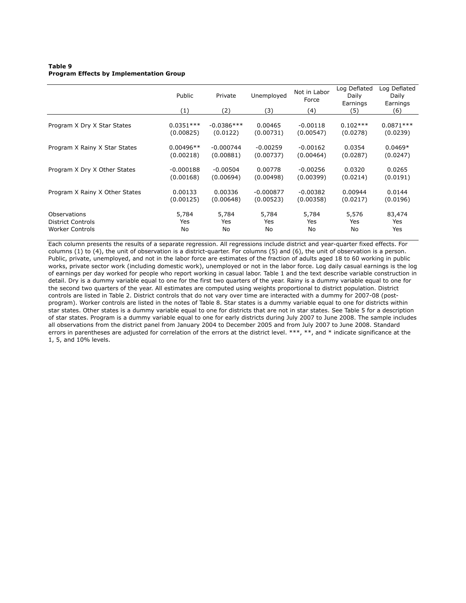### **Table 9 Program Effects by Implementation Group**

|                                | Public<br>(1) | Private<br>(2) | Unemployed<br>(3) | Not in Labor<br>Force<br>(4) | Log Deflated<br>Daily<br>Earnings<br>(5) | Log Deflated<br>Daily<br>Earnings<br>(6) |
|--------------------------------|---------------|----------------|-------------------|------------------------------|------------------------------------------|------------------------------------------|
|                                |               |                |                   |                              |                                          |                                          |
| Program X Dry X Star States    | $0.0351***$   | $-0.0386***$   | 0.00465           | $-0.00118$                   | $0.102***$                               | $0.0871***$                              |
|                                | (0.00825)     | (0.0122)       | (0.00731)         | (0.00547)                    | (0.0278)                                 | (0.0239)                                 |
| Program X Rainy X Star States  | $0.00496**$   | $-0.000744$    | $-0.00259$        | $-0.00162$                   | 0.0354                                   | $0.0469*$                                |
|                                | (0.00218)     | (0.00881)      | (0.00737)         | (0.00464)                    | (0.0287)                                 | (0.0247)                                 |
| Program X Dry X Other States   | $-0.000188$   | $-0.00504$     | 0.00778           | $-0.00256$                   | 0.0320                                   | 0.0265                                   |
|                                | (0.00168)     | (0.00694)      | (0.00498)         | (0.00399)                    | (0.0214)                                 | (0.0191)                                 |
| Program X Rainy X Other States | 0.00133       | 0.00336        | $-0.000877$       | $-0.00382$                   | 0.00944                                  | 0.0144                                   |
|                                | (0.00125)     | (0.00648)      | (0.00523)         | (0.00358)                    | (0.0217)                                 | (0.0196)                                 |
| Observations                   | 5,784         | 5,784          | 5,784             | 5,784                        | 5,576                                    | 83,474                                   |
| <b>District Controls</b>       | Yes           | Yes            | Yes               | Yes                          | Yes                                      | Yes                                      |
| <b>Worker Controls</b>         | No            | No             | No                | No.                          | No                                       | Yes                                      |

Each column presents the results of a separate regression. All regressions include district and year-quarter fixed effects. For columns (1) to (4), the unit of observation is a district-quarter. For columns (5) and (6), the unit of observation is a person. Public, private, unemployed, and not in the labor force are estimates of the fraction of adults aged 18 to 60 working in public works, private sector work (including domestic work), unemployed or not in the labor force. Log daily casual earnings is the log of earnings per day worked for people who report working in casual labor. Table 1 and the text describe variable construction in detail. Dry is a dummy variable equal to one for the first two quarters of the year. Rainy is a dummy variable equal to one for the second two quarters of the year. All estimates are computed using weights proportional to district population. District controls are listed in Table 2. District controls that do not vary over time are interacted with a dummy for 2007-08 (postprogram). Worker controls are listed in the notes of Table 8. Star states is a dummy variable equal to one for districts within star states. Other states is a dummy variable equal to one for districts that are not in star states. See Table 5 for a description of star states. Program is a dummy variable equal to one for early districts during July 2007 to June 2008. The sample includes all observations from the district panel from January 2004 to December 2005 and from July 2007 to June 2008. Standard errors in parentheses are adjusted for correlation of the errors at the district level. \*\*\*, \*\*, and \* indicate significance at the 1, 5, and 10% levels.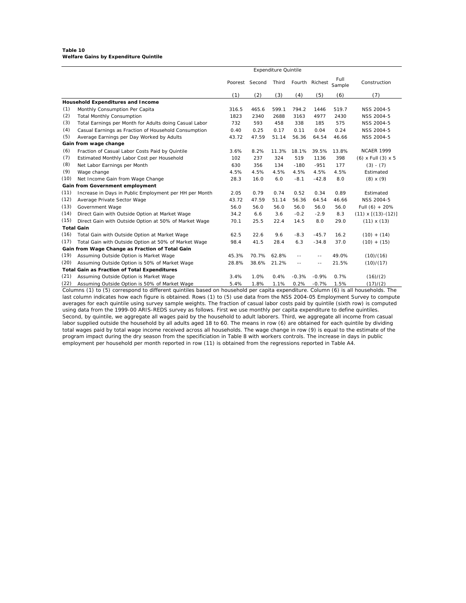#### **Table 10 Welfare Gains by Expenditure Quintile**

|      | <b>Expenditure Quintile</b>                            |       |                |       |            |                |                |                           |
|------|--------------------------------------------------------|-------|----------------|-------|------------|----------------|----------------|---------------------------|
|      |                                                        |       | Poorest Second | Third |            | Fourth Richest | Full<br>Sample | Construction              |
|      |                                                        | (1)   | (2)            | (3)   | (4)        | (5)            | (6)            | (7)                       |
|      | Household Expenditures and Income                      |       |                |       |            |                |                |                           |
| (1)  | Monthly Consumption Per Capita                         | 316.5 | 465.6          | 599.1 | 794.2      | 1446           | 519.7          | <b>NSS 2004-5</b>         |
| (2)  | <b>Total Monthly Consumption</b>                       | 1823  | 2340           | 2688  | 3163       | 4977           | 2430           | <b>NSS 2004-5</b>         |
| (3)  | Total Earnings per Month for Adults doing Casual Labor | 732   | 593            | 458   | 338        | 185            | 575            | <b>NSS 2004-5</b>         |
| (4)  | Casual Earnings as Fraction of Household Consumption   | 0.40  | 0.25           | 0.17  | 0.11       | 0.04           | 0.24           | NSS 2004-5                |
| (5)  | Average Earnings per Day Worked by Adults              | 43.72 | 47.59          | 51.14 | 56.36      | 64.54          | 46.66          | <b>NSS 2004-5</b>         |
|      | Gain from wage change                                  |       |                |       |            |                |                |                           |
| (6)  | Fraction of Casual Labor Costs Paid by Quintile        | 3.6%  | 8.2%           | 11.3% | 18.1%      | 39.5%          | 13.8%          | <b>NCAER 1999</b>         |
| (7)  | Estimated Monthly Labor Cost per Household             | 102   | 237            | 324   | 519        | 1136           | 398            | $(6)$ x Full $(3)$ x 5    |
| (8)  | Net Labor Earnings per Month                           | 630   | 356            | 134   | $-180$     | $-951$         | 177            | $(3) - (7)$               |
| (9)  | Wage change                                            | 4.5%  | 4.5%           | 4.5%  | 4.5%       | 4.5%           | 4.5%           | Estimated                 |
| (10) | Net Income Gain from Wage Change                       | 28.3  | 16.0           | 6.0   | $-8.1$     | $-42.8$        | 8.0            | $(8) \times (9)$          |
|      | Gain from Government employment                        |       |                |       |            |                |                |                           |
| (11) | Increase in Days in Public Employment per HH per Month | 2.05  | 0.79           | 0.74  | 0.52       | 0.34           | 0.89           | Estimated                 |
| (12) | Average Private Sector Wage                            | 43.72 | 47.59          | 51.14 | 56.36      | 64.54          | 46.66          | NSS 2004-5                |
| (13) | Government Wage                                        | 56.0  | 56.0           | 56.0  | 56.0       | 56.0           | 56.0           | Full $(6) + 20%$          |
| (14) | Direct Gain with Outside Option at Market Wage         | 34.2  | 6.6            | 3.6   | $-0.2$     | $-2.9$         | 8.3            | $(11) \times [(13)-(12)]$ |
| (15) | Direct Gain with Outside Option at 50% of Market Wage  | 70.1  | 25.5           | 22.4  | 14.5       | 8.0            | 29.0           | $(11) \times (13)$        |
|      | <b>Total Gain</b>                                      |       |                |       |            |                |                |                           |
| (16) | Total Gain with Outside Option at Market Wage          | 62.5  | 22.6           | 9.6   | $-8.3$     | $-45.7$        | 16.2           | $(10) + (14)$             |
| (17) | Total Gain with Outside Option at 50% of Market Wage   | 98.4  | 41.5           | 28.4  | 6.3        | $-34.8$        | 37.0           | $(10) + (15)$             |
|      | Gain from Wage Change as Fraction of Total Gain        |       |                |       |            |                |                |                           |
| (19) | Assuming Outside Option is Market Wage                 | 45.3% | 70.7%          | 62.8% | --         |                | 49.0%          | (10)/(16)                 |
| (20) | Assuming Outside Option is 50% of Market Wage          | 28.8% | 38.6%          | 21.2% | $\sim$ $-$ | $\sim$ $-$     | 21.5%          | (10)/(17)                 |
|      | <b>Total Gain as Fraction of Total Expenditures</b>    |       |                |       |            |                |                |                           |
| (21) | Assuming Outside Option is Market Wage                 | 3.4%  | 1.0%           | 0.4%  | $-0.3%$    | $-0.9%$        | 0.7%           | (16)/(2)                  |
| (22) | Assuming Outside Option is 50% of Market Wage          | 5.4%  | 1.8%           | 1.1%  | 0.2%       | $-0.7%$        | 1.5%           | (17)/(2)                  |

Columns (1) to (5) correspond to different quintiles based on household per capita expenditure. Column (6) is all households. The last column indicates how each figure is obtained. Rows (1) to (5) use data from the NSS 2004-05 Employment Survey to compute averages for each quintile using survey sample weights. The fraction of casual labor costs paid by quintile (sixth row) is computed using data from the 1999-00 ARIS-REDS survey as follows. First we use monthly per capita expenditure to define quintiles. Second, by quintile, we aggregate all wages paid by the household to adult laborers. Third, we aggregate all income from casual labor supplied outside the household by all adults aged 18 to 60. The means in row (6) are obtained for each quintile by dividing total wages paid by total wage income received across all households. The wage change in row (9) is equal to the estimate of the program impact during the dry season from the specificiation in Table 8 with workers controls. The increase in days in public employment per household per month reported in row (11) is obtained from the regressions reported in Table A4.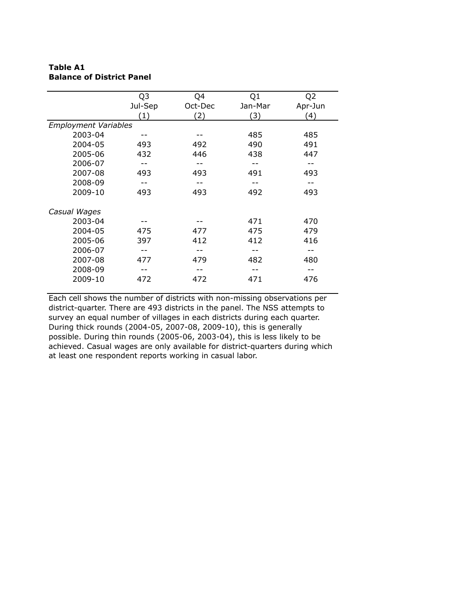## **Table A1 Balance of District Panel**

|                             | Q <sub>3</sub> | Q4      | Q <sub>1</sub> | Q <sub>2</sub> |
|-----------------------------|----------------|---------|----------------|----------------|
|                             | Jul-Sep        | Oct-Dec | Jan-Mar        | Apr-Jun        |
|                             | (1)            | (2)     | (3)            | (4)            |
| <b>Employment Variables</b> |                |         |                |                |
| 2003-04                     |                |         | 485            | 485            |
| 2004-05                     | 493            | 492     | 490            | 491            |
| 2005-06                     | 432            | 446     | 438            | 447            |
| 2006-07                     |                |         |                |                |
| 2007-08                     | 493            | 493     | 491            | 493            |
| 2008-09                     |                |         |                |                |
| 2009-10                     | 493            | 493     | 492            | 493            |
| Casual Wages                |                |         |                |                |
| 2003-04                     |                |         | 471            | 470            |
| 2004-05                     | 475            | 477     | 475            | 479            |
| 2005-06                     | 397            | 412     | 412            | 416            |
| 2006-07                     |                |         |                |                |
| 2007-08                     | 477            | 479     | 482            | 480            |
| 2008-09                     |                |         |                |                |
| 2009-10                     | 472            | 472     | 471            | 476            |

Each cell shows the number of districts with non-missing observations per district-quarter. There are 493 districts in the panel. The NSS attempts to survey an equal number of villages in each districts during each quarter. During thick rounds (2004-05, 2007-08, 2009-10), this is generally possible. During thin rounds (2005-06, 2003-04), this is less likely to be achieved. Casual wages are only available for district-quarters during which at least one respondent reports working in casual labor.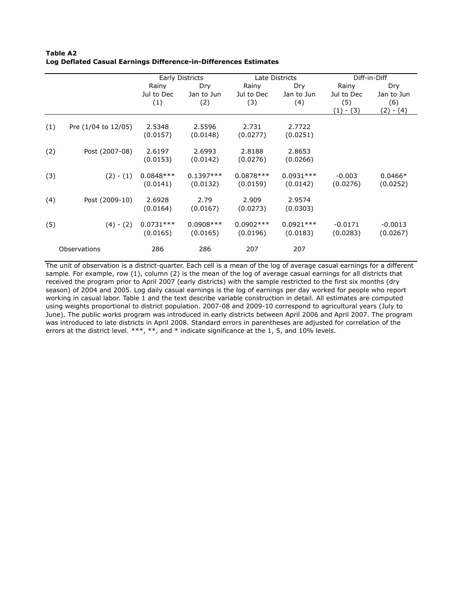|              |                     | Early Districts |             | Late Districts |             | Diff-in-Diff |             |
|--------------|---------------------|-----------------|-------------|----------------|-------------|--------------|-------------|
|              |                     | Rainy           | Dry         | Rainy          | Dry         | Rainy        | Dry         |
|              |                     | Jul to Dec      | Jan to Jun  | Jul to Dec     | Jan to Jun  | Jul to Dec   | Jan to Jun  |
|              |                     | (1)             | (2)         | (3)            | (4)         | (5)          | (6)         |
|              |                     |                 |             |                |             | $(1) - (3)$  | $(2) - (4)$ |
|              |                     |                 |             |                |             |              |             |
| (1)          |                     |                 |             |                |             |              |             |
|              | Pre (1/04 to 12/05) | 2.5348          | 2.5596      | 2.731          | 2.7722      |              |             |
|              |                     | (0.0157)        | (0.0148)    | (0.0277)       | (0.0251)    |              |             |
|              |                     |                 |             |                |             |              |             |
| (2)          | Post (2007-08)      | 2.6197          | 2.6993      | 2.8188         | 2.8653      |              |             |
|              |                     | (0.0153)        | (0.0142)    | (0.0276)       | (0.0266)    |              |             |
|              |                     |                 |             |                |             |              |             |
| (3)          |                     |                 |             |                |             |              |             |
|              | $(2) - (1)$         | $0.0848***$     | $0.1397***$ | $0.0878***$    | $0.0931***$ | $-0.003$     | $0.0466*$   |
|              |                     | (0.0141)        | (0.0132)    | (0.0159)       | (0.0142)    | (0.0276)     | (0.0252)    |
|              |                     |                 |             |                |             |              |             |
| (4)          | Post (2009-10)      | 2.6928          | 2.79        | 2.909          | 2.9574      |              |             |
|              |                     | (0.0164)        | (0.0167)    | (0.0273)       | (0.0303)    |              |             |
|              |                     |                 |             |                |             |              |             |
| (5)          | $(4) - (2)$         | $0.0731***$     | $0.0908***$ | $0.0902***$    | $0.0921***$ | $-0.0171$    | $-0.0013$   |
|              |                     |                 |             |                |             |              |             |
|              |                     | (0.0165)        | (0.0165)    | (0.0196)       | (0.0183)    | (0.0283)     | (0.0267)    |
|              |                     |                 |             |                |             |              |             |
| Observations |                     | 286             | 286         | 207            | 207         |              |             |

**Table A2 Log Deflated Casual Earnings Difference-in-Differences Estimates**

The unit of observation is a district-quarter. Each cell is a mean of the log of average casual earnings for a different sample. For example, row (1), column (2) is the mean of the log of average casual earnings for all districts that received the program prior to April 2007 (early districts) with the sample restricted to the first six months (dry season) of 2004 and 2005. Log daily casual earnings is the log of earnings per day worked for people who report working in casual labor. Table 1 and the text describe variable construction in detail. All estimates are computed using weights proportional to district population. 2007-08 and 2009-10 correspond to agricultural years (July to June). The public works program was introduced in early districts between April 2006 and April 2007. The program was introduced to late districts in April 2008. Standard errors in parentheses are adjusted for correlation of the errors at the district level. \*\*\*, \*\*, and \* indicate significance at the 1, 5, and 10% levels.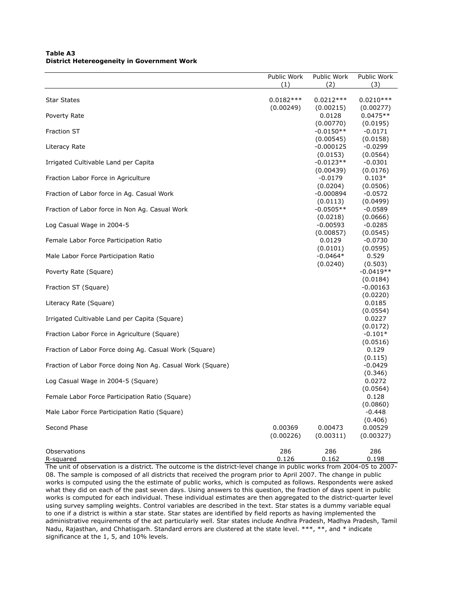## **Table A3 District Hetereogeneity in Government Work**

|                                                            | Public Work | Public Work            | Public Work          |
|------------------------------------------------------------|-------------|------------------------|----------------------|
|                                                            | (1)         | (2)                    | (3)                  |
| <b>Star States</b>                                         | $0.0182***$ | $0.0212***$            | $0.0210***$          |
|                                                            | (0.00249)   | (0.00215)              | (0.00277)            |
| Poverty Rate                                               |             | 0.0128                 | $0.0475**$           |
|                                                            |             | (0.00770)              | (0.0195)             |
| <b>Fraction ST</b>                                         |             | $-0.0150**$            | $-0.0171$            |
|                                                            |             | (0.00545)              | (0.0158)             |
| Literacy Rate                                              |             | -0.000125              | $-0.0299$            |
|                                                            |             | (0.0153)               | (0.0564)             |
| Irrigated Cultivable Land per Capita                       |             | $-0.0123**$            | $-0.0301$            |
| Fraction Labor Force in Agriculture                        |             | (0.00439)<br>$-0.0179$ | (0.0176)<br>$0.103*$ |
|                                                            |             | (0.0204)               | (0.0506)             |
| Fraction of Labor force in Ag. Casual Work                 |             | $-0.000894$            | $-0.0572$            |
|                                                            |             | (0.0113)               | (0.0499)             |
| Fraction of Labor force in Non Ag. Casual Work             |             | $-0.0505**$            | $-0.0589$            |
|                                                            |             | (0.0218)               | (0.0666)             |
| Log Casual Wage in 2004-5                                  |             | $-0.00593$             | $-0.0285$            |
|                                                            |             | (0.00857)              | (0.0545)             |
| Female Labor Force Participation Ratio                     |             | 0.0129                 | $-0.0730$            |
| Male Labor Force Participation Ratio                       |             | (0.0101)<br>$-0.0464*$ | (0.0595)<br>0.529    |
|                                                            |             | (0.0240)               | (0.503)              |
| Poverty Rate (Square)                                      |             |                        | $-0.0419**$          |
|                                                            |             |                        | (0.0184)             |
| Fraction ST (Square)                                       |             |                        | $-0.00163$           |
|                                                            |             |                        | (0.0220)             |
| Literacy Rate (Square)                                     |             |                        | 0.0185               |
| Irrigated Cultivable Land per Capita (Square)              |             |                        | (0.0554)<br>0.0227   |
|                                                            |             |                        | (0.0172)             |
| Fraction Labor Force in Agriculture (Square)               |             |                        | $-0.101*$            |
|                                                            |             |                        | (0.0516)             |
| Fraction of Labor Force doing Ag. Casual Work (Square)     |             |                        | 0.129                |
|                                                            |             |                        | (0.115)              |
| Fraction of Labor Force doing Non Ag. Casual Work (Square) |             |                        | $-0.0429$            |
|                                                            |             |                        | (0.346)<br>0.0272    |
| Log Casual Wage in 2004-5 (Square)                         |             |                        | (0.0564)             |
| Female Labor Force Participation Ratio (Square)            |             |                        | 0.128                |
|                                                            |             |                        | (0.0860)             |
| Male Labor Force Participation Ratio (Square)              |             |                        | $-0.448$             |
|                                                            |             |                        | (0.406)              |
| Second Phase                                               | 0.00369     | 0.00473                | 0.00529              |
|                                                            | (0.00226)   | (0.00311)              | (0.00327)            |
| Observations                                               | 286         | 286                    | 286                  |
| R-squared                                                  | 0.126       | 0.162                  | 0.198                |

The unit of observation is a district. The outcome is the district-level change in public works from 2004-05 to 2007- 08. The sample is composed of all districts that received the program prior to April 2007. The change in public works is computed using the the estimate of public works, which is computed as follows. Respondents were asked what they did on each of the past seven days. Using answers to this question, the fraction of days spent in public works is computed for each individual. These individual estimates are then aggregated to the district-quarter level using survey sampling weights. Control variables are described in the text. Star states is a dummy variable equal to one if a district is within a star state. Star states are identified by field reports as having implemented the administrative requirements of the act particularly well. Star states include Andhra Pradesh, Madhya Pradesh, Tamil Nadu, Rajasthan, and Chhatisgarh. Standard errors are clustered at the state level. \*\*\*, \*\*, and \* indicate significance at the 1, 5, and 10% levels.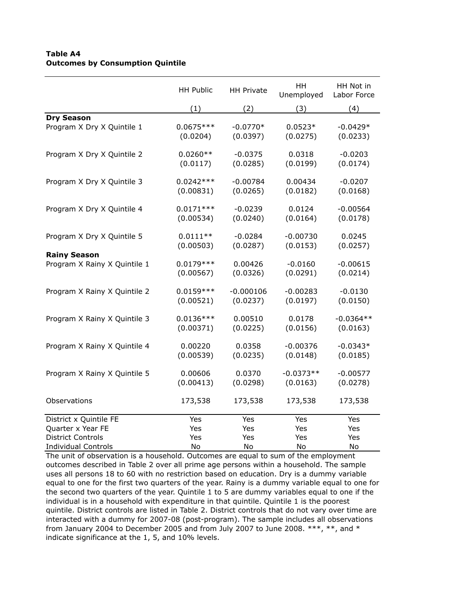## **Table A4 Outcomes by Consumption Quintile**

|                              | <b>HH Public</b> | <b>HH Private</b> | HH<br>Unemployed | HH Not in<br>Labor Force |
|------------------------------|------------------|-------------------|------------------|--------------------------|
|                              | (1)              | (2)               | (3)              | (4)                      |
| <b>Dry Season</b>            |                  |                   |                  |                          |
| Program X Dry X Quintile 1   | $0.0675***$      | $-0.0770*$        | $0.0523*$        | $-0.0429*$               |
|                              | (0.0204)         | (0.0397)          | (0.0275)         | (0.0233)                 |
| Program X Dry X Quintile 2   | $0.0260**$       | $-0.0375$         | 0.0318           | $-0.0203$                |
|                              | (0.0117)         | (0.0285)          | (0.0199)         | (0.0174)                 |
| Program X Dry X Quintile 3   | $0.0242***$      | $-0.00784$        | 0.00434          | $-0.0207$                |
|                              | (0.00831)        | (0.0265)          | (0.0182)         | (0.0168)                 |
| Program X Dry X Quintile 4   | $0.0171***$      | $-0.0239$         | 0.0124           | $-0.00564$               |
|                              | (0.00534)        | (0.0240)          | (0.0164)         | (0.0178)                 |
| Program X Dry X Quintile 5   | $0.0111**$       | $-0.0284$         | $-0.00730$       | 0.0245                   |
|                              | (0.00503)        | (0.0287)          | (0.0153)         | (0.0257)                 |
| <b>Rainy Season</b>          | $0.0179***$      | 0.00426           | $-0.0160$        | $-0.00615$               |
| Program X Rainy X Quintile 1 | (0.00567)        | (0.0326)          | (0.0291)         | (0.0214)                 |
| Program X Rainy X Quintile 2 | $0.0159***$      | $-0.000106$       | $-0.00283$       | $-0.0130$                |
|                              | (0.00521)        | (0.0237)          | (0.0197)         | (0.0150)                 |
| Program X Rainy X Quintile 3 | $0.0136***$      | 0.00510           | 0.0178           | $-0.0364**$              |
|                              | (0.00371)        | (0.0225)          | (0.0156)         | (0.0163)                 |
| Program X Rainy X Quintile 4 | 0.00220          | 0.0358            | $-0.00376$       | $-0.0343*$               |
|                              | (0.00539)        | (0.0235)          | (0.0148)         | (0.0185)                 |
| Program X Rainy X Quintile 5 | 0.00606          | 0.0370            | $-0.0373**$      | $-0.00577$               |
|                              | (0.00413)        | (0.0298)          | (0.0163)         | (0.0278)                 |
| Observations                 | 173,538          | 173,538           | 173,538          | 173,538                  |
| District x Quintile FE       | Yes              | Yes               | Yes              | Yes                      |
| Quarter x Year FE            | Yes              | Yes               | Yes              | Yes                      |
| <b>District Controls</b>     | Yes              | Yes               | Yes              | Yes                      |
| <b>Individual Controls</b>   | No               | No                | No               | No                       |

The unit of observation is a household. Outcomes are equal to sum of the employment outcomes described in Table 2 over all prime age persons within a household. The sample uses all persons 18 to 60 with no restriction based on education. Dry is a dummy variable equal to one for the first two quarters of the year. Rainy is a dummy variable equal to one for the second two quarters of the year. Quintile 1 to 5 are dummy variables equal to one if the individual is in a household with expenditure in that quintile. Quintile 1 is the poorest quintile. District controls are listed in Table 2. District controls that do not vary over time are interacted with a dummy for 2007-08 (post-program). The sample includes all observations from January 2004 to December 2005 and from July 2007 to June 2008.  $***$ ,  $**$ , and  $*$ indicate significance at the 1, 5, and 10% levels.